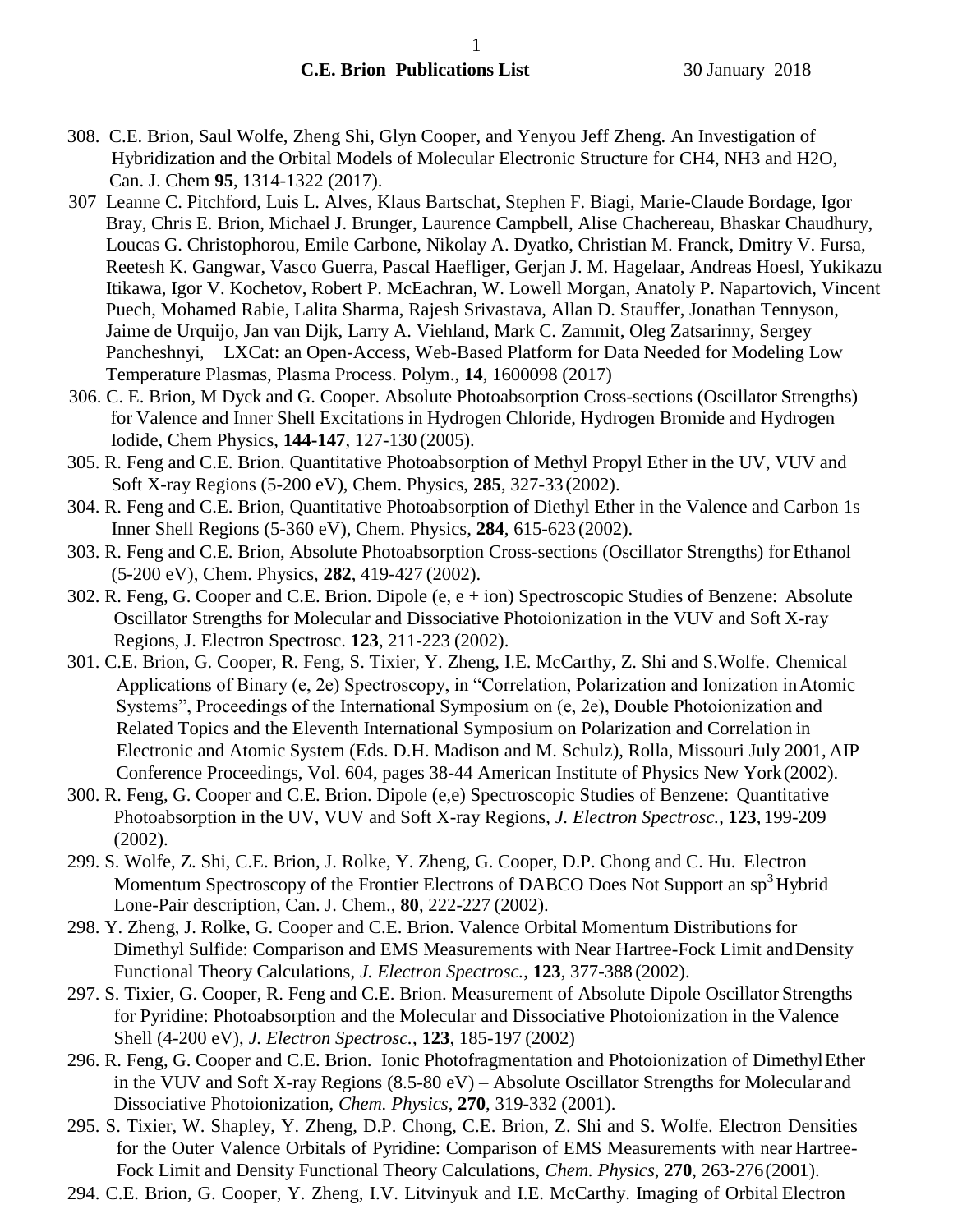- 308. C.E. Brion, Saul Wolfe, Zheng Shi, Glyn Cooper, and Yenyou Jeff Zheng. An Investigation of Hybridization and the Orbital Models of Molecular Electronic Structure for CH4, NH3 and H2O, Can. J. Chem **95**, 1314-1322 (2017).
- 307 Leanne C. Pitchford, Luis L. Alves, Klaus Bartschat, Stephen F. Biagi, Marie-Claude Bordage, Igor Bray, Chris E. Brion, Michael J. Brunger, Laurence Campbell, Alise Chachereau, Bhaskar Chaudhury, Loucas G. Christophorou, Emile Carbone, Nikolay A. Dyatko, Christian M. Franck, Dmitry V. Fursa, Reetesh K. Gangwar, Vasco Guerra, Pascal Haefliger, Gerjan J. M. Hagelaar, Andreas Hoesl, Yukikazu Itikawa, Igor V. Kochetov, Robert P. McEachran, W. Lowell Morgan, Anatoly P. Napartovich, Vincent Puech, Mohamed Rabie, Lalita Sharma, Rajesh Srivastava, Allan D. Stauffer, Jonathan Tennyson, Jaime de Urquijo, Jan van Dijk, Larry A. Viehland, Mark C. Zammit, Oleg Zatsarinny, Sergey Pancheshnyi, LXCat: an Open-Access, Web-Based Platform for Data Needed for Modeling Low Temperature Plasmas, Plasma Process. Polym., **14**, 1600098 (2017)
- 306. C. E. Brion, M Dyck and G. Cooper. Absolute Photoabsorption Cross-sections (Oscillator Strengths) for Valence and Inner Shell Excitations in Hydrogen Chloride, Hydrogen Bromide and Hydrogen Iodide, Chem Physics, **144-147**, 127-130 (2005).
- 305. R. Feng and C.E. Brion. Quantitative Photoabsorption of Methyl Propyl Ether in the UV, VUV and Soft X-ray Regions (5-200 eV), Chem. Physics, **285**, 327-33(2002).
- 304. R. Feng and C.E. Brion, Quantitative Photoabsorption of Diethyl Ether in the Valence and Carbon 1s Inner Shell Regions (5-360 eV), Chem. Physics, **284**, 615-623 (2002).
- 303. R. Feng and C.E. Brion, Absolute Photoabsorption Cross-sections (Oscillator Strengths) forEthanol (5-200 eV), Chem. Physics, **282**, 419-427 (2002).
- 302. R. Feng, G. Cooper and C.E. Brion. Dipole (e, e + ion) Spectroscopic Studies of Benzene: Absolute Oscillator Strengths for Molecular and Dissociative Photoionization in the VUV and Soft X-ray Regions, J. Electron Spectrosc. **123**, 211-223 (2002).
- 301. C.E. Brion, G. Cooper, R. Feng, S. Tixier, Y. Zheng, I.E. McCarthy, Z. Shi and S.Wolfe. Chemical Applications of Binary (e, 2e) Spectroscopy, in "Correlation, Polarization and Ionization inAtomic Systems", Proceedings of the International Symposium on (e, 2e), Double Photoionization and Related Topics and the Eleventh International Symposium on Polarization and Correlation in Electronic and Atomic System (Eds. D.H. Madison and M. Schulz), Rolla, Missouri July 2001, AIP Conference Proceedings, Vol. 604, pages 38-44 American Institute of Physics New York(2002).
- 300. R. Feng, G. Cooper and C.E. Brion. Dipole (e,e) Spectroscopic Studies of Benzene: Quantitative Photoabsorption in the UV, VUV and Soft X-ray Regions, *J. Electron Spectrosc.*, **123**, 199-209 (2002).
- 299. S. Wolfe, Z. Shi, C.E. Brion, J. Rolke, Y. Zheng, G. Cooper, D.P. Chong and C. Hu. Electron Momentum Spectroscopy of the Frontier Electrons of DABCO Does Not Support an  $\text{sp}^3$ Hybrid Lone-Pair description, Can. J. Chem., **80**, 222-227 (2002).
- 298. Y. Zheng, J. Rolke, G. Cooper and C.E. Brion. Valence Orbital Momentum Distributions for Dimethyl Sulfide: Comparison and EMS Measurements with Near Hartree-Fock Limit andDensity Functional Theory Calculations, *J. Electron Spectrosc.*, **123**, 377-388 (2002).
- 297. S. Tixier, G. Cooper, R. Feng and C.E. Brion. Measurement of Absolute Dipole Oscillator Strengths for Pyridine: Photoabsorption and the Molecular and Dissociative Photoionization in the Valence Shell (4-200 eV), *J. Electron Spectrosc.*, **123**, 185-197 (2002)
- 296. R. Feng, G. Cooper and C.E. Brion. Ionic Photofragmentation and Photoionization of DimethylEther in the VUV and Soft X-ray Regions (8.5-80 eV) – Absolute Oscillator Strengths for Molecular and Dissociative Photoionization, *Chem. Physics*, **270**, 319-332 (2001).
- 295. S. Tixier, W. Shapley, Y. Zheng, D.P. Chong, C.E. Brion, Z. Shi and S. Wolfe. Electron Densities for the Outer Valence Orbitals of Pyridine: Comparison of EMS Measurements with near Hartree-Fock Limit and Density Functional Theory Calculations, *Chem. Physics*, **270**, 263-276(2001).
- 294. C.E. Brion, G. Cooper, Y. Zheng, I.V. Litvinyuk and I.E. McCarthy. Imaging of Orbital Electron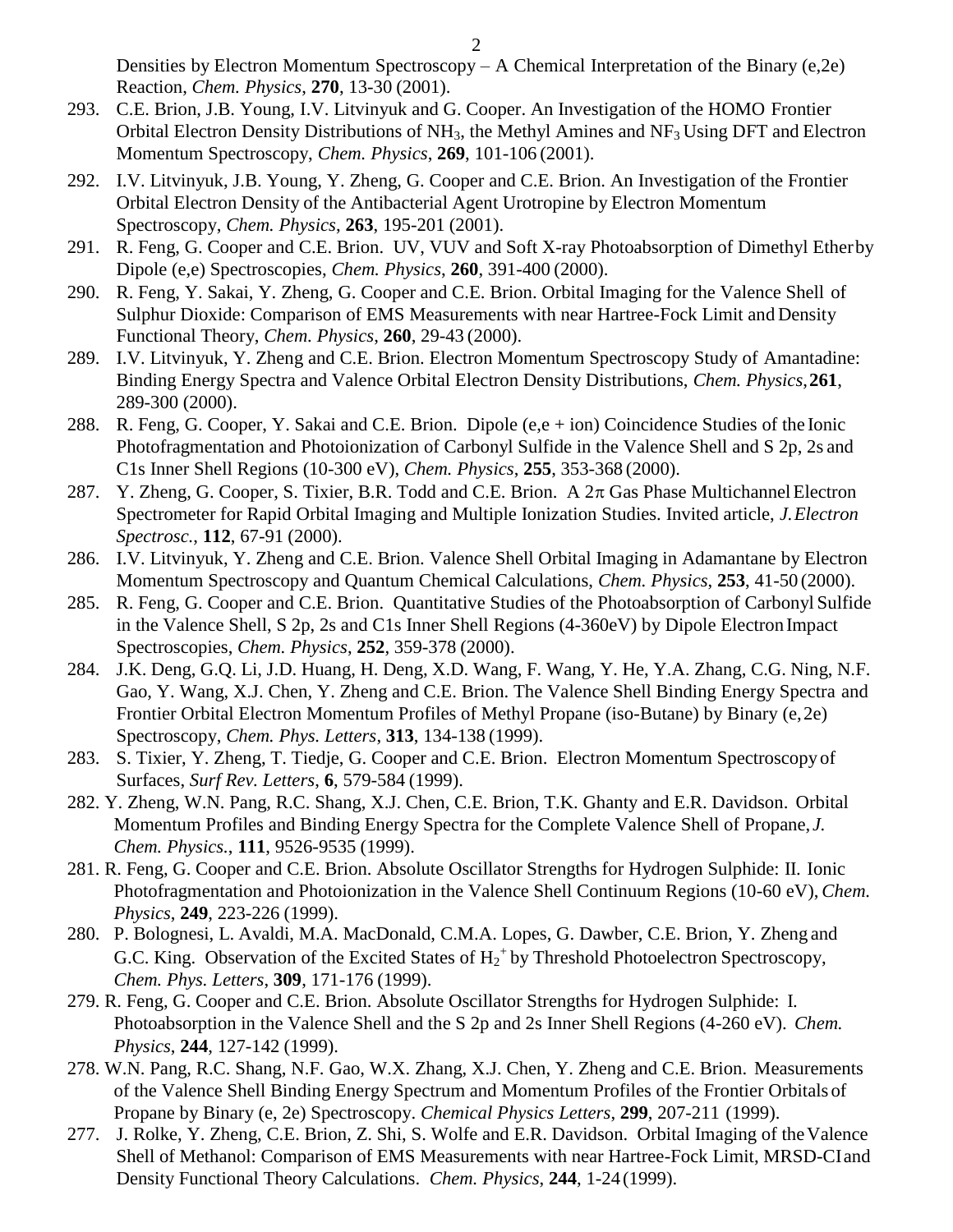Densities by Electron Momentum Spectroscopy – A Chemical Interpretation of the Binary (e,2e) Reaction, *Chem. Physics*, **270**, 13-30 (2001).

- 293. C.E. Brion, J.B. Young, I.V. Litvinyuk and G. Cooper. An Investigation of the HOMO Frontier Orbital Electron Density Distributions of  $NH_3$ , the Methyl Amines and  $NF_3$  Using DFT and Electron Momentum Spectroscopy, *Chem. Physics*, **269**, 101-106 (2001).
- 292. I.V. Litvinyuk, J.B. Young, Y. Zheng, G. Cooper and C.E. Brion. An Investigation of the Frontier Orbital Electron Density of the Antibacterial Agent Urotropine by Electron Momentum Spectroscopy, *Chem. Physics*, **263**, 195-201 (2001).
- 291. R. Feng, G. Cooper and C.E. Brion. UV, VUV and Soft X-ray Photoabsorption of Dimethyl Etherby Dipole (e,e) Spectroscopies, *Chem. Physics*, **260**, 391-400 (2000).
- 290. R. Feng, Y. Sakai, Y. Zheng, G. Cooper and C.E. Brion. Orbital Imaging for the Valence Shell of Sulphur Dioxide: Comparison of EMS Measurements with near Hartree-Fock Limit and Density Functional Theory, *Chem. Physics*, **260**, 29-43 (2000).
- 289. I.V. Litvinyuk, Y. Zheng and C.E. Brion. Electron Momentum Spectroscopy Study of Amantadine: Binding Energy Spectra and Valence Orbital Electron Density Distributions, *Chem. Physics*,**261**, 289-300 (2000).
- 288. R. Feng, G. Cooper, Y. Sakai and C.E. Brion. Dipole (e,e + ion) Coincidence Studies of the Ionic Photofragmentation and Photoionization of Carbonyl Sulfide in the Valence Shell and S 2p, 2s and C1s Inner Shell Regions (10-300 eV), *Chem. Physics*, **255**, 353-368 (2000).
- 287. Y. Zheng, G. Cooper, S. Tixier, B.R. Todd and C.E. Brion. A  $2\pi$  Gas Phase Multichannel Electron Spectrometer for Rapid Orbital Imaging and Multiple Ionization Studies. Invited article, *J.Electron Spectrosc.*, **112**, 67-91 (2000).
- 286. I.V. Litvinyuk, Y. Zheng and C.E. Brion. Valence Shell Orbital Imaging in Adamantane by Electron Momentum Spectroscopy and Quantum Chemical Calculations, *Chem. Physics*, **253**, 41-50 (2000).
- 285. R. Feng, G. Cooper and C.E. Brion. Quantitative Studies of the Photoabsorption of Carbonyl Sulfide in the Valence Shell, S 2p, 2s and C1s Inner Shell Regions (4-360eV) by Dipole Electron Impact Spectroscopies, *Chem. Physics*, **252**, 359-378 (2000).
- 284. J.K. Deng, G.Q. Li, J.D. Huang, H. Deng, X.D. Wang, F. Wang, Y. He, Y.A. Zhang, C.G. Ning, N.F. Gao, Y. Wang, X.J. Chen, Y. Zheng and C.E. Brion. The Valence Shell Binding Energy Spectra and Frontier Orbital Electron Momentum Profiles of Methyl Propane (iso-Butane) by Binary (e,2e) Spectroscopy, *Chem. Phys. Letters*, **313**, 134-138 (1999).
- 283. S. Tixier, Y. Zheng, T. Tiedje, G. Cooper and C.E. Brion. Electron Momentum Spectroscopy of Surfaces, *Surf Rev. Letters*, **6**, 579-584 (1999).
- 282. Y. Zheng, W.N. Pang, R.C. Shang, X.J. Chen, C.E. Brion, T.K. Ghanty and E.R. Davidson. Orbital Momentum Profiles and Binding Energy Spectra for the Complete Valence Shell of Propane, *J. Chem. Physics.*, **111**, 9526-9535 (1999).
- 281. R. Feng, G. Cooper and C.E. Brion. Absolute Oscillator Strengths for Hydrogen Sulphide: II. Ionic Photofragmentation and Photoionization in the Valence Shell Continuum Regions (10-60 eV), *Chem. Physics*, **249**, 223-226 (1999).
- 280. P. Bolognesi, L. Avaldi, M.A. MacDonald, C.M.A. Lopes, G. Dawber, C.E. Brion, Y. Zheng and G.C. King. Observation of the Excited States of  $H_2^+$  by Threshold Photoelectron Spectroscopy, *Chem. Phys. Letters*, **309**, 171-176 (1999).
- 279. R. Feng, G. Cooper and C.E. Brion. Absolute Oscillator Strengths for Hydrogen Sulphide: I. Photoabsorption in the Valence Shell and the S 2p and 2s Inner Shell Regions (4-260 eV). *Chem. Physics*, **244**, 127-142 (1999).
- 278. W.N. Pang, R.C. Shang, N.F. Gao, W.X. Zhang, X.J. Chen, Y. Zheng and C.E. Brion. Measurements of the Valence Shell Binding Energy Spectrum and Momentum Profiles of the Frontier Orbitals of Propane by Binary (e, 2e) Spectroscopy. *Chemical Physics Letters*, **299**, 207-211 (1999).
- 277. J. Rolke, Y. Zheng, C.E. Brion, Z. Shi, S. Wolfe and E.R. Davidson. Orbital Imaging of theValence Shell of Methanol: Comparison of EMS Measurements with near Hartree-Fock Limit, MRSD-CIand Density Functional Theory Calculations. *Chem. Physics*, **244**, 1-24 (1999).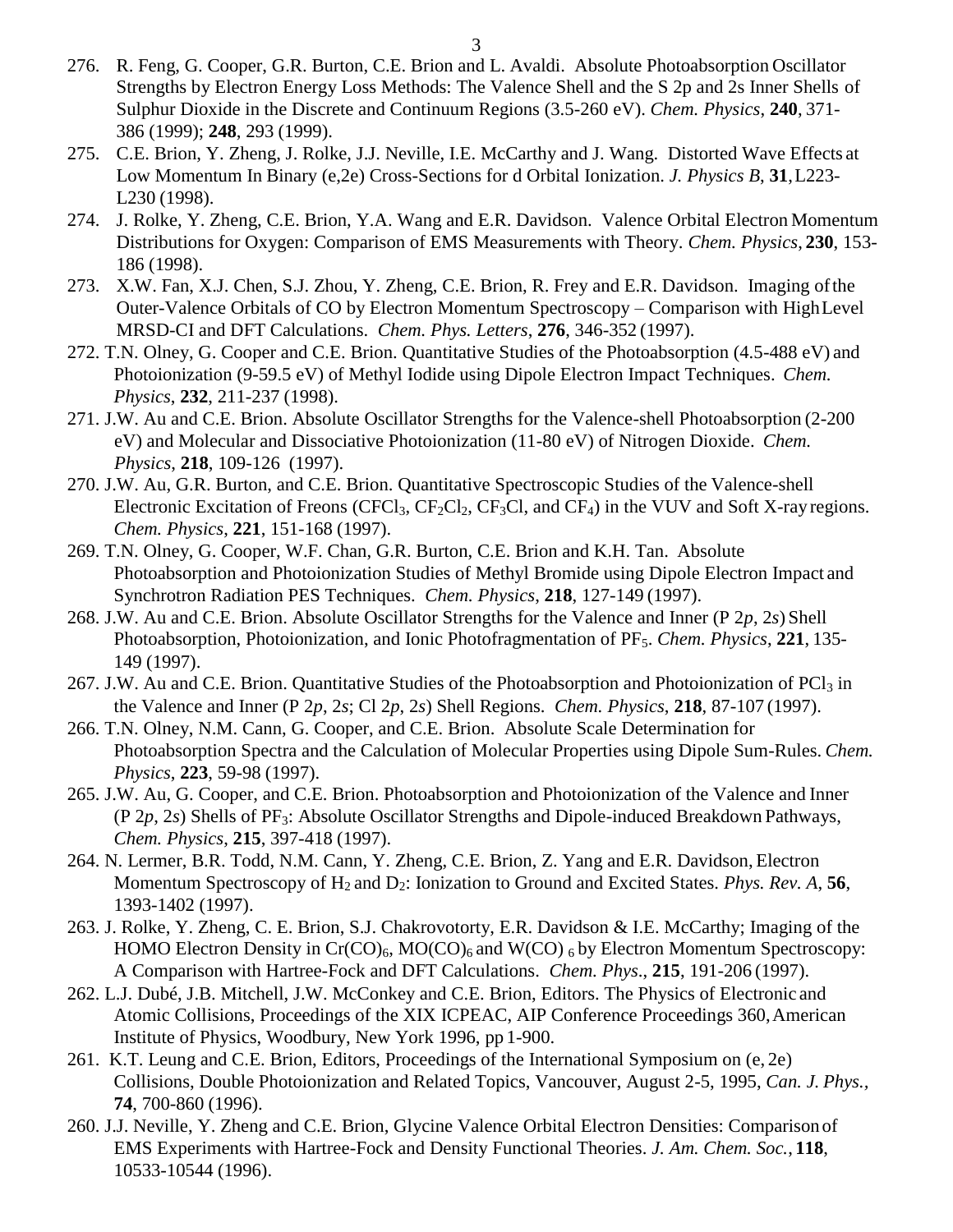- 276. R. Feng, G. Cooper, G.R. Burton, C.E. Brion and L. Avaldi. Absolute Photoabsorption Oscillator Strengths by Electron Energy Loss Methods: The Valence Shell and the S 2p and 2s Inner Shells of Sulphur Dioxide in the Discrete and Continuum Regions (3.5-260 eV). *Chem. Physics*, **240**, 371- 386 (1999); **248**, 293 (1999).
- 275. C.E. Brion, Y. Zheng, J. Rolke, J.J. Neville, I.E. McCarthy and J. Wang. Distorted Wave Effects at Low Momentum In Binary (e,2e) Cross-Sections for d Orbital Ionization. *J. Physics B*, **31**,L223- L230 (1998).
- 274. J. Rolke, Y. Zheng, C.E. Brion, Y.A. Wang and E.R. Davidson. Valence Orbital Electron Momentum Distributions for Oxygen: Comparison of EMS Measurements with Theory. *Chem. Physics*, **230**, 153- 186 (1998).
- 273. X.W. Fan, X.J. Chen, S.J. Zhou, Y. Zheng, C.E. Brion, R. Frey and E.R. Davidson. Imaging ofthe Outer-Valence Orbitals of CO by Electron Momentum Spectroscopy – Comparison with HighLevel MRSD-CI and DFT Calculations. *Chem. Phys. Letters*, **276**, 346-352 (1997).
- 272. T.N. Olney, G. Cooper and C.E. Brion. Quantitative Studies of the Photoabsorption (4.5-488 eV) and Photoionization (9-59.5 eV) of Methyl Iodide using Dipole Electron Impact Techniques. *Chem. Physics*, **232**, 211-237 (1998).
- 271. J.W. Au and C.E. Brion. Absolute Oscillator Strengths for the Valence-shell Photoabsorption (2-200 eV) and Molecular and Dissociative Photoionization (11-80 eV) of Nitrogen Dioxide. *Chem. Physics*, **218**, 109-126 (1997).
- 270. J.W. Au, G.R. Burton, and C.E. Brion. Quantitative Spectroscopic Studies of the Valence-shell Electronic Excitation of Freons (CFCl<sub>3</sub>, CF<sub>2</sub>Cl<sub>2</sub>, CF<sub>3</sub>Cl, and CF<sub>4</sub>) in the VUV and Soft X-ray regions. *Chem. Physics*, **221**, 151-168 (1997).
- 269. T.N. Olney, G. Cooper, W.F. Chan, G.R. Burton, C.E. Brion and K.H. Tan. Absolute Photoabsorption and Photoionization Studies of Methyl Bromide using Dipole Electron Impact and Synchrotron Radiation PES Techniques. *Chem. Physics*, **218**, 127-149 (1997).
- 268. J.W. Au and C.E. Brion. Absolute Oscillator Strengths for the Valence and Inner (P 2*p*, 2*s*) Shell Photoabsorption, Photoionization, and Ionic Photofragmentation of PF<sub>5</sub>. *Chem. Physics*, 221, 135-149 (1997).
- 267. J.W. Au and C.E. Brion. Quantitative Studies of the Photoabsorption and Photoionization of  $PCl<sub>3</sub>$  in the Valence and Inner (P 2*p*, 2*s*; Cl 2*p*, 2*s*) Shell Regions. *Chem. Physics*, **218**, 87-107 (1997).
- 266. T.N. Olney, N.M. Cann, G. Cooper, and C.E. Brion. Absolute Scale Determination for Photoabsorption Spectra and the Calculation of Molecular Properties using Dipole Sum-Rules. *Chem. Physics*, **223**, 59-98 (1997).
- 265. J.W. Au, G. Cooper, and C.E. Brion. Photoabsorption and Photoionization of the Valence and Inner (P 2*p*, 2*s*) Shells of PF3: Absolute Oscillator Strengths and Dipole-induced Breakdown Pathways, *Chem. Physics*, **215**, 397-418 (1997).
- 264. N. Lermer, B.R. Todd, N.M. Cann, Y. Zheng, C.E. Brion, Z. Yang and E.R. Davidson, Electron Momentum Spectroscopy of H<sub>2</sub> and D<sub>2</sub>: Ionization to Ground and Excited States. *Phys. Rev. A*, 56, 1393-1402 (1997).
- 263. J. Rolke, Y. Zheng, C. E. Brion, S.J. Chakrovotorty, E.R. Davidson & I.E. McCarthy; Imaging of the HOMO Electron Density in  $Cr(CO)_6$ , MO(CO)<sub>6</sub> and W(CO)  $_6$  by Electron Momentum Spectroscopy: A Comparison with Hartree-Fock and DFT Calculations. *Chem. Phys*., **215**, 191-206 (1997).
- 262. L.J. Dubé, J.B. Mitchell, J.W. McConkey and C.E. Brion, Editors. The Physics of Electronic and Atomic Collisions, Proceedings of the XIX ICPEAC, AIP Conference Proceedings 360,American Institute of Physics, Woodbury, New York 1996, pp 1-900.
- 261. K.T. Leung and C.E. Brion, Editors, Proceedings of the International Symposium on (e, 2e) Collisions, Double Photoionization and Related Topics, Vancouver, August 2-5, 1995, *Can. J. Phys.,*  **74**, 700-860 (1996).
- 260. J.J. Neville, Y. Zheng and C.E. Brion, Glycine Valence Orbital Electron Densities: Comparison of EMS Experiments with Hartree-Fock and Density Functional Theories. *J. Am. Chem. Soc.*, **118**, 10533-10544 (1996).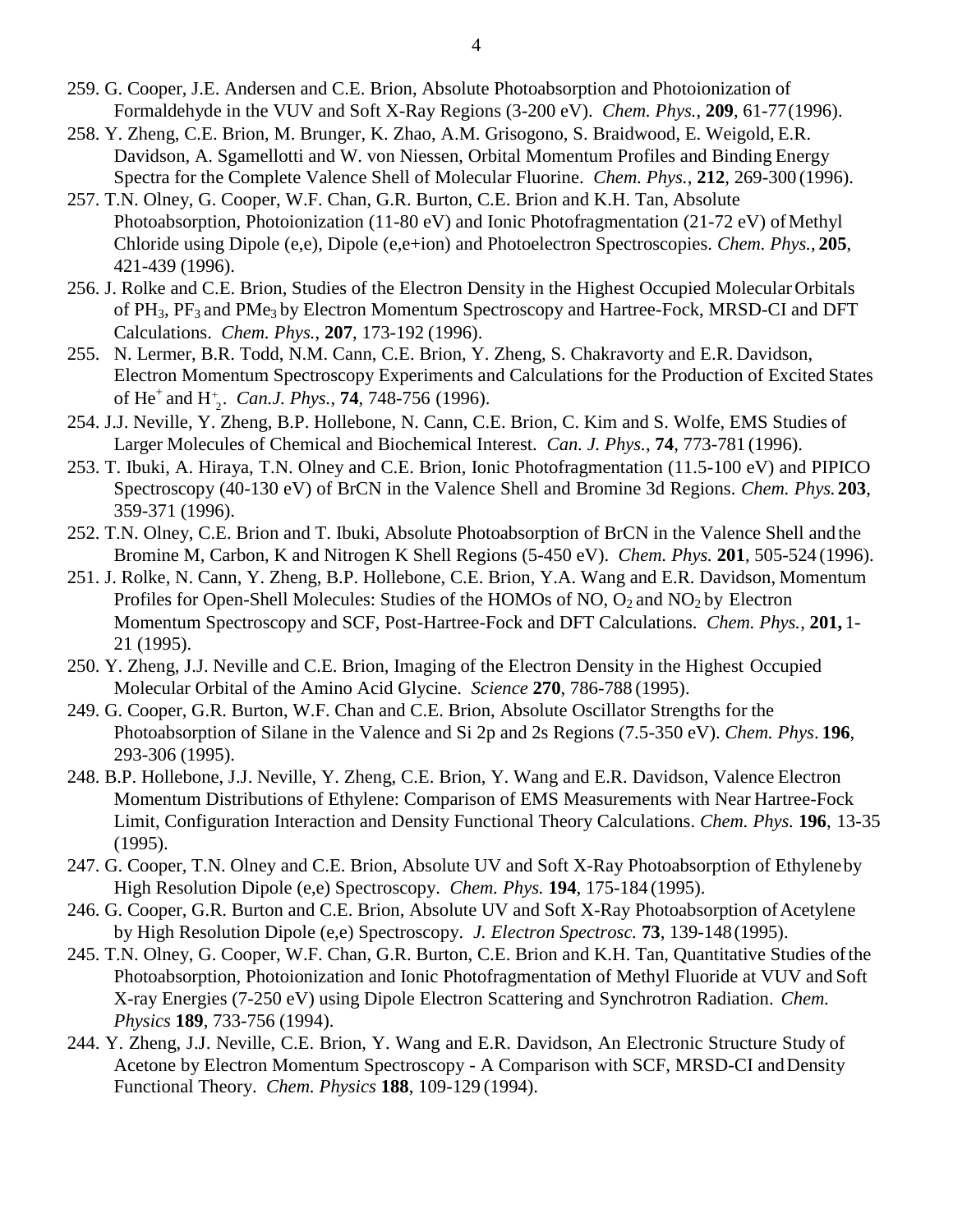- 259. G. Cooper, J.E. Andersen and C.E. Brion, Absolute Photoabsorption and Photoionization of Formaldehyde in the VUV and Soft X-Ray Regions (3-200 eV). *Chem. Phys.*, **209**, 61-77(1996).
- 258. Y. Zheng, C.E. Brion, M. Brunger, K. Zhao, A.M. Grisogono, S. Braidwood, E. Weigold, E.R. Davidson, A. Sgamellotti and W. von Niessen, Orbital Momentum Profiles and Binding Energy Spectra for the Complete Valence Shell of Molecular Fluorine. *Chem. Phys.*, **212**, 269-300 (1996).
- 257. T.N. Olney, G. Cooper, W.F. Chan, G.R. Burton, C.E. Brion and K.H. Tan, Absolute Photoabsorption, Photoionization (11-80 eV) and Ionic Photofragmentation (21-72 eV) of Methyl Chloride using Dipole (e,e), Dipole (e,e+ion) and Photoelectron Spectroscopies. *Chem. Phys.*, **205**, 421-439 (1996).
- 256. J. Rolke and C.E. Brion, Studies of the Electron Density in the Highest Occupied Molecular Orbitals of PH<sub>3</sub>, PF<sub>3</sub> and PMe<sub>3</sub> by Electron Momentum Spectroscopy and Hartree-Fock, MRSD-CI and DFT Calculations. *Chem. Phys.*, **207**, 173-192 (1996).
- of He<sup>+</sup> and H<sup>+</sup><sub>2</sub>. *Can.J. Phys.*, **74**, 748-756 (1996). 255. N. Lermer, B.R. Todd, N.M. Cann, C.E. Brion, Y. Zheng, S. Chakravorty and E.R. Davidson, Electron Momentum Spectroscopy Experiments and Calculations for the Production of Excited States
- 254. J.J. Neville, Y. Zheng, B.P. Hollebone, N. Cann, C.E. Brion, C. Kim and S. Wolfe, EMS Studies of Larger Molecules of Chemical and Biochemical Interest. *Can. J. Phys.*, **74**, 773-781 (1996).
- 253. T. Ibuki, A. Hiraya, T.N. Olney and C.E. Brion, Ionic Photofragmentation (11.5-100 eV) and PIPICO Spectroscopy (40-130 eV) of BrCN in the Valence Shell and Bromine 3d Regions. *Chem. Phys.* **203**, 359-371 (1996).
- 252. T.N. Olney, C.E. Brion and T. Ibuki, Absolute Photoabsorption of BrCN in the Valence Shell and the Bromine M, Carbon, K and Nitrogen K Shell Regions (5-450 eV). *Chem. Phys.* **201**, 505-524 (1996).
- 251. J. Rolke, N. Cann, Y. Zheng, B.P. Hollebone, C.E. Brion, Y.A. Wang and E.R. Davidson, Momentum Profiles for Open-Shell Molecules: Studies of the HOMOs of NO,  $O_2$  and NO<sub>2</sub> by Electron Momentum Spectroscopy and SCF, Post-Hartree-Fock and DFT Calculations. *Chem. Phys.*, **201,** 1- 21 (1995).
- 250. Y. Zheng, J.J. Neville and C.E. Brion, Imaging of the Electron Density in the Highest Occupied Molecular Orbital of the Amino Acid Glycine. *Science* **270**, 786-788 (1995).
- 249. G. Cooper, G.R. Burton, W.F. Chan and C.E. Brion, Absolute Oscillator Strengths for the Photoabsorption of Silane in the Valence and Si 2p and 2s Regions (7.5-350 eV). *Chem. Phys*. **196**, 293-306 (1995).
- 248. B.P. Hollebone, J.J. Neville, Y. Zheng, C.E. Brion, Y. Wang and E.R. Davidson, Valence Electron Momentum Distributions of Ethylene: Comparison of EMS Measurements with Near Hartree-Fock Limit, Configuration Interaction and Density Functional Theory Calculations. *Chem. Phys.* **196**, 13-35 (1995).
- 247. G. Cooper, T.N. Olney and C.E. Brion, Absolute UV and Soft X-Ray Photoabsorption of Ethyleneby High Resolution Dipole (e,e) Spectroscopy. *Chem. Phys.* **194**, 175-184 (1995).
- 246. G. Cooper, G.R. Burton and C.E. Brion, Absolute UV and Soft X-Ray Photoabsorption of Acetylene by High Resolution Dipole (e,e) Spectroscopy. *J. Electron Spectrosc.* **73**, 139-148(1995).
- 245. T.N. Olney, G. Cooper, W.F. Chan, G.R. Burton, C.E. Brion and K.H. Tan, Quantitative Studies ofthe Photoabsorption, Photoionization and Ionic Photofragmentation of Methyl Fluoride at VUV and Soft X-ray Energies (7-250 eV) using Dipole Electron Scattering and Synchrotron Radiation. *Chem. Physics* **189**, 733-756 (1994).
- 244. Y. Zheng, J.J. Neville, C.E. Brion, Y. Wang and E.R. Davidson, An Electronic Structure Study of Acetone by Electron Momentum Spectroscopy - A Comparison with SCF, MRSD-CI andDensity Functional Theory. *Chem. Physics* **188**, 109-129 (1994).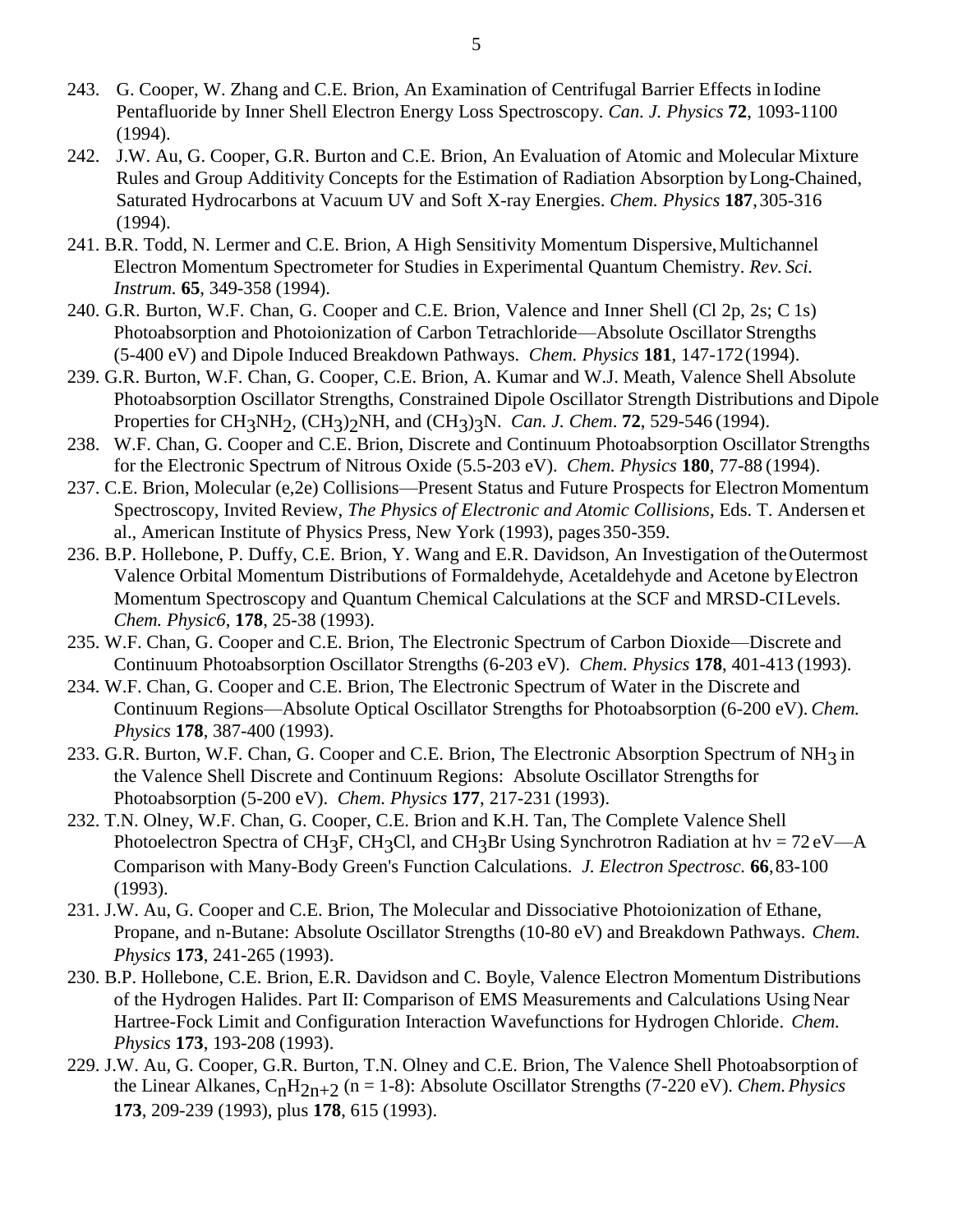- 243. G. Cooper, W. Zhang and C.E. Brion, An Examination of Centrifugal Barrier Effects in Iodine Pentafluoride by Inner Shell Electron Energy Loss Spectroscopy. *Can. J. Physics* **72**, 1093-1100 (1994).
- 242. J.W. Au, G. Cooper, G.R. Burton and C.E. Brion, An Evaluation of Atomic and Molecular Mixture Rules and Group Additivity Concepts for the Estimation of Radiation Absorption byLong-Chained, Saturated Hydrocarbons at Vacuum UV and Soft X-ray Energies. *Chem. Physics* **187**,305-316 (1994).
- 241. B.R. Todd, N. Lermer and C.E. Brion, A High Sensitivity Momentum Dispersive, Multichannel Electron Momentum Spectrometer for Studies in Experimental Quantum Chemistry. *Rev. Sci. Instrum.* **65**, 349-358 (1994).
- 240. G.R. Burton, W.F. Chan, G. Cooper and C.E. Brion, Valence and Inner Shell (Cl 2p, 2s; C 1s) Photoabsorption and Photoionization of Carbon Tetrachloride—Absolute Oscillator Strengths (5-400 eV) and Dipole Induced Breakdown Pathways. *Chem. Physics* **181**, 147-172(1994).
- 239. G.R. Burton, W.F. Chan, G. Cooper, C.E. Brion, A. Kumar and W.J. Meath, Valence Shell Absolute Photoabsorption Oscillator Strengths, Constrained Dipole Oscillator Strength Distributions and Dipole Properties for CH<sub>3</sub>NH<sub>2</sub>, (CH<sub>3</sub>)<sub>2</sub>NH, and (CH<sub>3</sub>)<sub>3</sub>N. *Can. J. Chem.* **72**, 529-546 (1994).
- 238. W.F. Chan, G. Cooper and C.E. Brion, Discrete and Continuum Photoabsorption Oscillator Strengths for the Electronic Spectrum of Nitrous Oxide (5.5-203 eV). *Chem. Physics* **180**, 77-88 (1994).
- 237. C.E. Brion, Molecular (e,2e) Collisions—Present Status and Future Prospects for Electron Momentum Spectroscopy, Invited Review, *The Physics of Electronic and Atomic Collisions*, Eds. T. Andersen et al., American Institute of Physics Press, New York (1993), pages 350-359.
- 236. B.P. Hollebone, P. Duffy, C.E. Brion, Y. Wang and E.R. Davidson, An Investigation of theOutermost Valence Orbital Momentum Distributions of Formaldehyde, Acetaldehyde and Acetone byElectron Momentum Spectroscopy and Quantum Chemical Calculations at the SCF and MRSD-CILevels. *Chem. Physic6*, **178**, 25-38 (1993).
- 235. W.F. Chan, G. Cooper and C.E. Brion, The Electronic Spectrum of Carbon Dioxide—Discrete and Continuum Photoabsorption Oscillator Strengths (6-203 eV). *Chem. Physics* **178**, 401-413 (1993).
- 234. W.F. Chan, G. Cooper and C.E. Brion, The Electronic Spectrum of Water in the Discrete and Continuum Regions—Absolute Optical Oscillator Strengths for Photoabsorption (6-200 eV). *Chem. Physics* **178**, 387-400 (1993).
- 233. G.R. Burton, W.F. Chan, G. Cooper and C.E. Brion, The Electronic Absorption Spectrum of NH<sub>3</sub> in the Valence Shell Discrete and Continuum Regions: Absolute Oscillator Strengthsfor Photoabsorption (5-200 eV). *Chem. Physics* **177**, 217-231 (1993).
- 232. T.N. Olney, W.F. Chan, G. Cooper, C.E. Brion and K.H. Tan, The Complete Valence Shell Photoelectron Spectra of CH<sub>3</sub>F, CH<sub>3</sub>Cl, and CH<sub>3</sub>Br Using Synchrotron Radiation at hv =  $72 \text{ eV}$ —A Comparison with Many-Body Green's Function Calculations. *J. Electron Spectrosc.* **66**,83-100 (1993).
- 231. J.W. Au, G. Cooper and C.E. Brion, The Molecular and Dissociative Photoionization of Ethane, Propane, and n-Butane: Absolute Oscillator Strengths (10-80 eV) and Breakdown Pathways. *Chem. Physics* **173**, 241-265 (1993).
- 230. B.P. Hollebone, C.E. Brion, E.R. Davidson and C. Boyle, Valence Electron Momentum Distributions of the Hydrogen Halides. Part II: Comparison of EMS Measurements and Calculations Using Near Hartree-Fock Limit and Configuration Interaction Wavefunctions for Hydrogen Chloride. *Chem. Physics* **173**, 193-208 (1993).
- 229. J.W. Au, G. Cooper, G.R. Burton, T.N. Olney and C.E. Brion, The Valence Shell Photoabsorption of the Linear Alkanes, CnH2n+2 (n = 1-8): Absolute Oscillator Strengths (7-220 eV). *Chem.Physics*  **173**, 209-239 (1993), plus **178**, 615 (1993).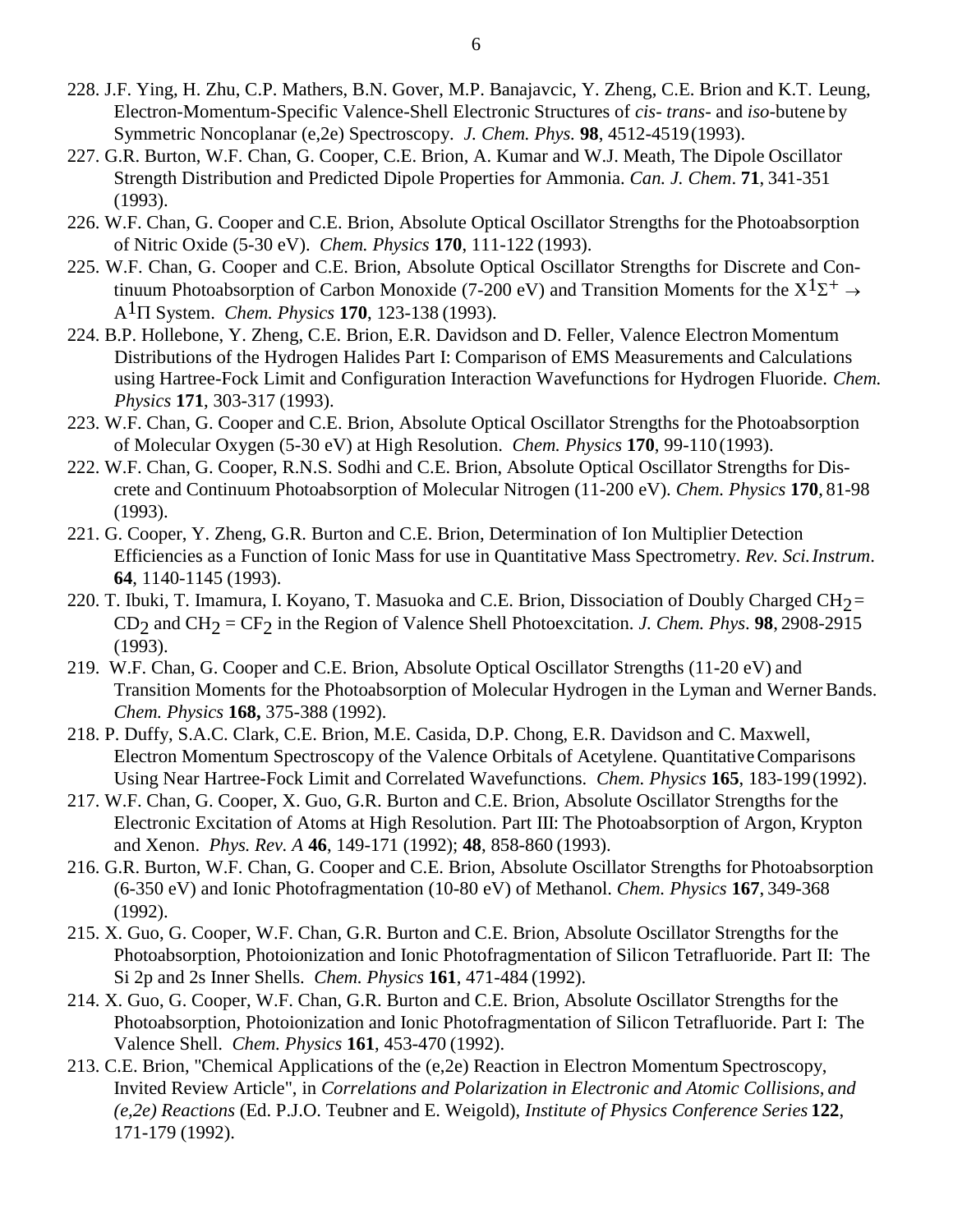- 228. J.F. Ying, H. Zhu, C.P. Mathers, B.N. Gover, M.P. Banajavcic, Y. Zheng, C.E. Brion and K.T. Leung, Electron-Momentum-Specific Valence-Shell Electronic Structures of *cis- trans-* and *iso-*butene by Symmetric Noncoplanar (e,2e) Spectroscopy. *J. Chem. Phys.* **98**, 4512-4519(1993).
- 227. G.R. Burton, W.F. Chan, G. Cooper, C.E. Brion, A. Kumar and W.J. Meath, The Dipole Oscillator Strength Distribution and Predicted Dipole Properties for Ammonia. *Can. J. Chem*. **71**, 341-351 (1993).
- 226. W.F. Chan, G. Cooper and C.E. Brion, Absolute Optical Oscillator Strengths for the Photoabsorption of Nitric Oxide (5-30 eV). *Chem. Physics* **170**, 111-122 (1993).
- 225. W.F. Chan, G. Cooper and C.E. Brion, Absolute Optical Oscillator Strengths for Discrete and Continuum Photoabsorption of Carbon Monoxide (7-200 eV) and Transition Moments for the  $X^{1}\Sigma^{+} \rightarrow$  $A^{1}$  $\Pi$  System. *Chem. Physics* **170**, 123-138 (1993).
- 224. B.P. Hollebone, Y. Zheng, C.E. Brion, E.R. Davidson and D. Feller, Valence Electron Momentum Distributions of the Hydrogen Halides Part I: Comparison of EMS Measurements and Calculations using Hartree-Fock Limit and Configuration Interaction Wavefunctions for Hydrogen Fluoride. *Chem. Physics* **171**, 303-317 (1993).
- 223. W.F. Chan, G. Cooper and C.E. Brion, Absolute Optical Oscillator Strengths for the Photoabsorption of Molecular Oxygen (5-30 eV) at High Resolution. *Chem. Physics* **170**, 99-110(1993).
- 222. W.F. Chan, G. Cooper, R.N.S. Sodhi and C.E. Brion, Absolute Optical Oscillator Strengths for Discrete and Continuum Photoabsorption of Molecular Nitrogen (11-200 eV). *Chem. Physics* **170**, 81-98 (1993).
- 221. G. Cooper, Y. Zheng, G.R. Burton and C.E. Brion, Determination of Ion Multiplier Detection Efficiencies as a Function of Ionic Mass for use in Quantitative Mass Spectrometry. *Rev. Sci.Instrum*. **64**, 1140-1145 (1993).
- 220. T. Ibuki, T. Imamura, I. Koyano, T. Masuoka and C.E. Brion, Dissociation of Doubly Charged CH $2$ = CD<sub>2</sub> and CH<sub>2</sub> = CF<sub>2</sub> in the Region of Valence Shell Photoexcitation. *J. Chem. Phys.* **98**, 2908-2915 (1993).
- 219. W.F. Chan, G. Cooper and C.E. Brion, Absolute Optical Oscillator Strengths (11-20 eV) and Transition Moments for the Photoabsorption of Molecular Hydrogen in the Lyman and Werner Bands. *Chem. Physics* **168,** 375-388 (1992).
- 218. P. Duffy, S.A.C. Clark, C.E. Brion, M.E. Casida, D.P. Chong, E.R. Davidson and C. Maxwell, Electron Momentum Spectroscopy of the Valence Orbitals of Acetylene. QuantitativeComparisons Using Near Hartree-Fock Limit and Correlated Wavefunctions. *Chem. Physics* **165**, 183-199(1992).
- 217. W.F. Chan, G. Cooper, X. Guo, G.R. Burton and C.E. Brion, Absolute Oscillator Strengths for the Electronic Excitation of Atoms at High Resolution. Part III: The Photoabsorption of Argon, Krypton and Xenon. *Phys. Rev. A* **46**, 149-171 (1992); **48**, 858-860 (1993).
- 216. G.R. Burton, W.F. Chan, G. Cooper and C.E. Brion, Absolute Oscillator Strengths for Photoabsorption (6-350 eV) and Ionic Photofragmentation (10-80 eV) of Methanol. *Chem. Physics* **167**, 349-368 (1992).
- 215. X. Guo, G. Cooper, W.F. Chan, G.R. Burton and C.E. Brion, Absolute Oscillator Strengths for the Photoabsorption, Photoionization and Ionic Photofragmentation of Silicon Tetrafluoride. Part II: The Si 2p and 2s Inner Shells. *Chem. Physics* **161**, 471-484 (1992).
- 214. X. Guo, G. Cooper, W.F. Chan, G.R. Burton and C.E. Brion, Absolute Oscillator Strengths for the Photoabsorption, Photoionization and Ionic Photofragmentation of Silicon Tetrafluoride. Part I: The Valence Shell. *Chem. Physics* **161**, 453-470 (1992).
- 213. C.E. Brion, "Chemical Applications of the (e,2e) Reaction in Electron Momentum Spectroscopy, Invited Review Article", in *Correlations and Polarization in Electronic and Atomic Collisions, and (e,2e) Reactions* (Ed. P.J.O. Teubner and E. Weigold), *Institute of Physics Conference Series* **122**, 171-179 (1992).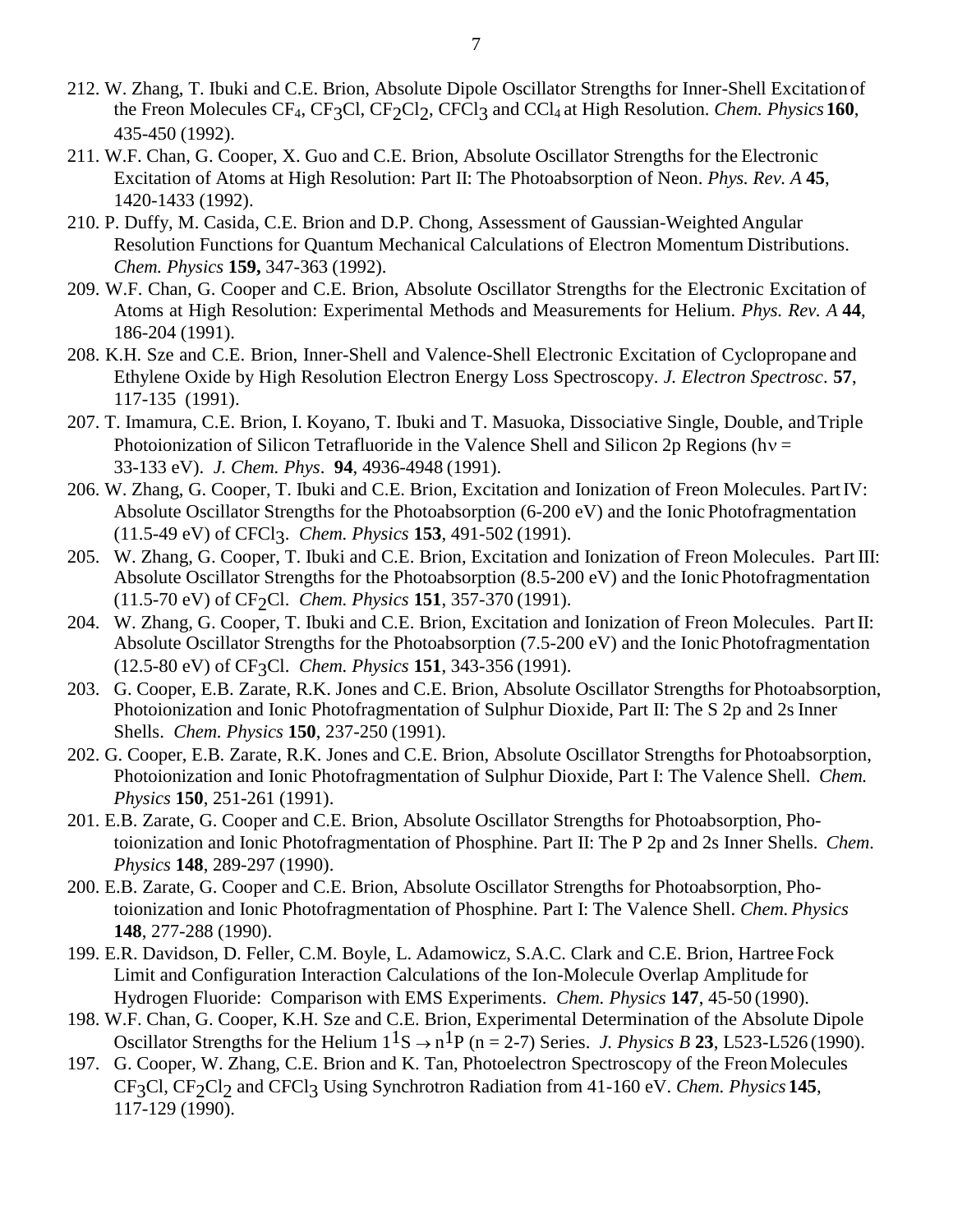- 212. W. Zhang, T. Ibuki and C.E. Brion, Absolute Dipole Oscillator Strengths for Inner-Shell Excitationof the Freon Molecules CF<sub>4</sub>, CF<sub>3</sub>Cl, CF<sub>2</sub>Cl<sub>2</sub>, CFCl<sub>3</sub> and CCl<sub>4</sub> at High Resolution. *Chem. Physics* 160, 435-450 (1992).
- 211. W.F. Chan, G. Cooper, X. Guo and C.E. Brion, Absolute Oscillator Strengths for the Electronic Excitation of Atoms at High Resolution: Part II: The Photoabsorption of Neon. *Phys. Rev. A* **45**, 1420-1433 (1992).
- 210. P. Duffy, M. Casida, C.E. Brion and D.P. Chong, Assessment of Gaussian-Weighted Angular Resolution Functions for Quantum Mechanical Calculations of Electron Momentum Distributions. *Chem. Physics* **159,** 347-363 (1992).
- 209. W.F. Chan, G. Cooper and C.E. Brion, Absolute Oscillator Strengths for the Electronic Excitation of Atoms at High Resolution: Experimental Methods and Measurements for Helium. *Phys. Rev. A* **44**, 186-204 (1991).
- 208. K.H. Sze and C.E. Brion, Inner-Shell and Valence-Shell Electronic Excitation of Cyclopropane and Ethylene Oxide by High Resolution Electron Energy Loss Spectroscopy. *J. Electron Spectrosc*. **57**, 117-135 (1991).
- 207. T. Imamura, C.E. Brion, I. Koyano, T. Ibuki and T. Masuoka, Dissociative Single, Double, andTriple Photoionization of Silicon Tetrafluoride in the Valence Shell and Silicon 2p Regions (hv = 33-133 eV). *J. Chem. Phys*. **94**, 4936-4948 (1991).
- 206. W. Zhang, G. Cooper, T. Ibuki and C.E. Brion, Excitation and Ionization of Freon Molecules. PartIV: Absolute Oscillator Strengths for the Photoabsorption (6-200 eV) and the Ionic Photofragmentation (11.5-49 eV) of CFCl3. *Chem. Physics* **153**, 491-502 (1991).
- 205. W. Zhang, G. Cooper, T. Ibuki and C.E. Brion, Excitation and Ionization of Freon Molecules. Part III: Absolute Oscillator Strengths for the Photoabsorption (8.5-200 eV) and the Ionic Photofragmentation (11.5-70 eV) of CF2Cl. *Chem. Physics* **151**, 357-370 (1991).
- 204. W. Zhang, G. Cooper, T. Ibuki and C.E. Brion, Excitation and Ionization of Freon Molecules. PartII: Absolute Oscillator Strengths for the Photoabsorption (7.5-200 eV) and the Ionic Photofragmentation (12.5-80 eV) of CF3Cl. *Chem. Physics* **151**, 343-356 (1991).
- 203. G. Cooper, E.B. Zarate, R.K. Jones and C.E. Brion, Absolute Oscillator Strengths for Photoabsorption, Photoionization and Ionic Photofragmentation of Sulphur Dioxide, Part II: The S 2p and 2s Inner Shells. *Chem. Physics* **150**, 237-250 (1991).
- 202. G. Cooper, E.B. Zarate, R.K. Jones and C.E. Brion, Absolute Oscillator Strengths for Photoabsorption, Photoionization and Ionic Photofragmentation of Sulphur Dioxide, Part I: The Valence Shell. *Chem. Physics* **150**, 251-261 (1991).
- 201. E.B. Zarate, G. Cooper and C.E. Brion, Absolute Oscillator Strengths for Photoabsorption, Photoionization and Ionic Photofragmentation of Phosphine. Part II: The P 2p and 2s Inner Shells. *Chem. Physics* **148**, 289-297 (1990).
- 200. E.B. Zarate, G. Cooper and C.E. Brion, Absolute Oscillator Strengths for Photoabsorption, Photoionization and Ionic Photofragmentation of Phosphine. Part I: The Valence Shell. *Chem. Physics*  **148**, 277-288 (1990).
- 199. E.R. Davidson, D. Feller, C.M. Boyle, L. Adamowicz, S.A.C. Clark and C.E. Brion, Hartree Fock Limit and Configuration Interaction Calculations of the Ion-Molecule Overlap Amplitude for Hydrogen Fluoride: Comparison with EMS Experiments. *Chem. Physics* **147**, 45-50 (1990).
- 198. W.F. Chan, G. Cooper, K.H. Sze and C.E. Brion, Experimental Determination of the Absolute Dipole Oscillator Strengths for the Helium  $1^1S \rightarrow n^1P$  (n = 2-7) Series. *J. Physics B* 23, L523-L526 (1990).
- 197. G. Cooper, W. Zhang, C.E. Brion and K. Tan, Photoelectron Spectroscopy of the FreonMolecules CF3Cl, CF2Cl2 and CFCl3 Using Synchrotron Radiation from 41-160 eV. *Chem. Physics* **145**, 117-129 (1990).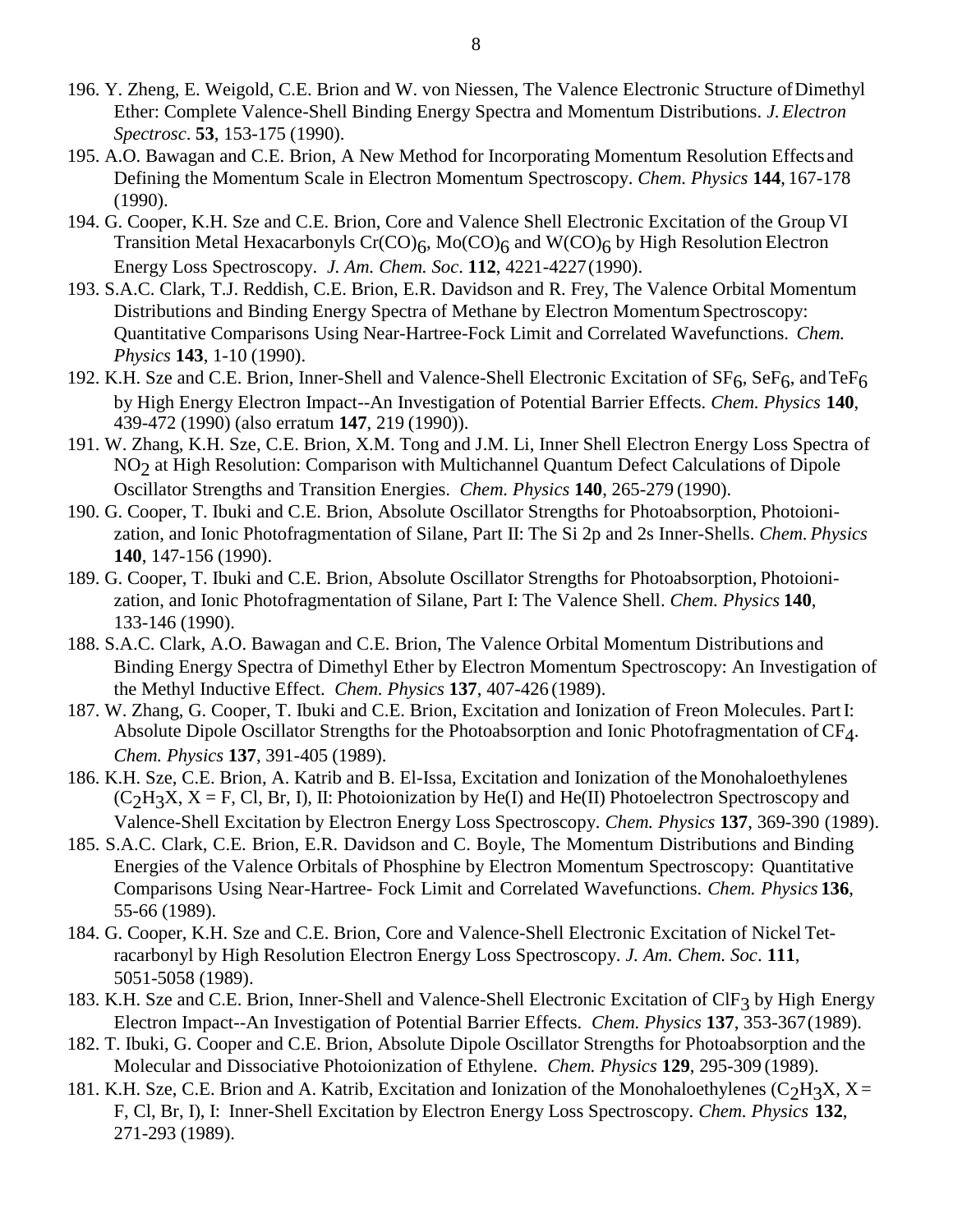- 196. Y. Zheng, E. Weigold, C.E. Brion and W. von Niessen, The Valence Electronic Structure ofDimethyl Ether: Complete Valence-Shell Binding Energy Spectra and Momentum Distributions. *J.Electron Spectrosc*. **53**, 153-175 (1990).
- 195. A.O. Bawagan and C.E. Brion, A New Method for Incorporating Momentum Resolution Effectsand Defining the Momentum Scale in Electron Momentum Spectroscopy. *Chem. Physics* **144**, 167-178 (1990).
- 194. G. Cooper, K.H. Sze and C.E. Brion, Core and Valence Shell Electronic Excitation of the Group VI Transition Metal Hexacarbonyls  $Cr(CO)_6$ , Mo $(CO)_6$  and W $(CO)_6$  by High Resolution Electron Energy Loss Spectroscopy. *J. Am. Chem. Soc*. **112**, 4221-4227(1990).
- 193. S.A.C. Clark, T.J. Reddish, C.E. Brion, E.R. Davidson and R. Frey, The Valence Orbital Momentum Distributions and Binding Energy Spectra of Methane by Electron Momentum Spectroscopy: Quantitative Comparisons Using Near-Hartree-Fock Limit and Correlated Wavefunctions. *Chem. Physics* **143**, 1-10 (1990).
- 192. K.H. Sze and C.E. Brion, Inner-Shell and Valence-Shell Electronic Excitation of  $SF_6$ , Se $F_6$ , and Te $F_6$ by High Energy Electron Impact--An Investigation of Potential Barrier Effects. *Chem. Physics* **140**, 439-472 (1990) (also erratum **147**, 219 (1990)).
- 191. W. Zhang, K.H. Sze, C.E. Brion, X.M. Tong and J.M. Li, Inner Shell Electron Energy Loss Spectra of NO<sub>2</sub> at High Resolution: Comparison with Multichannel Quantum Defect Calculations of Dipole Oscillator Strengths and Transition Energies. *Chem. Physics* **140**, 265-279 (1990).
- 190. G. Cooper, T. Ibuki and C.E. Brion, Absolute Oscillator Strengths for Photoabsorption, Photoionization, and Ionic Photofragmentation of Silane, Part II: The Si 2p and 2s Inner-Shells. *Chem. Physics*  **140**, 147-156 (1990).
- 189. G. Cooper, T. Ibuki and C.E. Brion, Absolute Oscillator Strengths for Photoabsorption, Photoionization, and Ionic Photofragmentation of Silane, Part I: The Valence Shell. *Chem. Physics* **140**, 133-146 (1990).
- 188. S.A.C. Clark, A.O. Bawagan and C.E. Brion, The Valence Orbital Momentum Distributions and Binding Energy Spectra of Dimethyl Ether by Electron Momentum Spectroscopy: An Investigation of the Methyl Inductive Effect. *Chem. Physics* **137**, 407-426 (1989).
- 187. W. Zhang, G. Cooper, T. Ibuki and C.E. Brion, Excitation and Ionization of Freon Molecules. PartI: Absolute Dipole Oscillator Strengths for the Photoabsorption and Ionic Photofragmentation of CF4. *Chem. Physics* **137**, 391-405 (1989).
- 186. K.H. Sze, C.E. Brion, A. Katrib and B. El-Issa, Excitation and Ionization of the Monohaloethylenes  $(C_2H_3X, X = F, Cl, Br, I)$ , II: Photoionization by He(I) and He(II) Photoelectron Spectroscopy and Valence-Shell Excitation by Electron Energy Loss Spectroscopy. *Chem. Physics* **137**, 369-390 (1989).
- 185. S.A.C. Clark, C.E. Brion, E.R. Davidson and C. Boyle, The Momentum Distributions and Binding Energies of the Valence Orbitals of Phosphine by Electron Momentum Spectroscopy: Quantitative Comparisons Using Near-Hartree- Fock Limit and Correlated Wavefunctions. *Chem. Physics* **136**, 55-66 (1989).
- 184. G. Cooper, K.H. Sze and C.E. Brion, Core and Valence-Shell Electronic Excitation of Nickel Tetracarbonyl by High Resolution Electron Energy Loss Spectroscopy. *J. Am. Chem. Soc*. **111**, 5051-5058 (1989).
- 183. K.H. Sze and C.E. Brion, Inner-Shell and Valence-Shell Electronic Excitation of ClF3 by High Energy Electron Impact--An Investigation of Potential Barrier Effects. *Chem. Physics* **137**, 353-367(1989).
- 182. T. Ibuki, G. Cooper and C.E. Brion, Absolute Dipole Oscillator Strengths for Photoabsorption and the Molecular and Dissociative Photoionization of Ethylene. *Chem. Physics* **129**, 295-309 (1989).
- 181. K.H. Sze, C.E. Brion and A. Katrib, Excitation and Ionization of the Monohaloethylenes (C<sub>2</sub>H<sub>3</sub>X, X = F, Cl, Br, I), I: Inner-Shell Excitation by Electron Energy Loss Spectroscopy. *Chem. Physics* **132**, 271-293 (1989).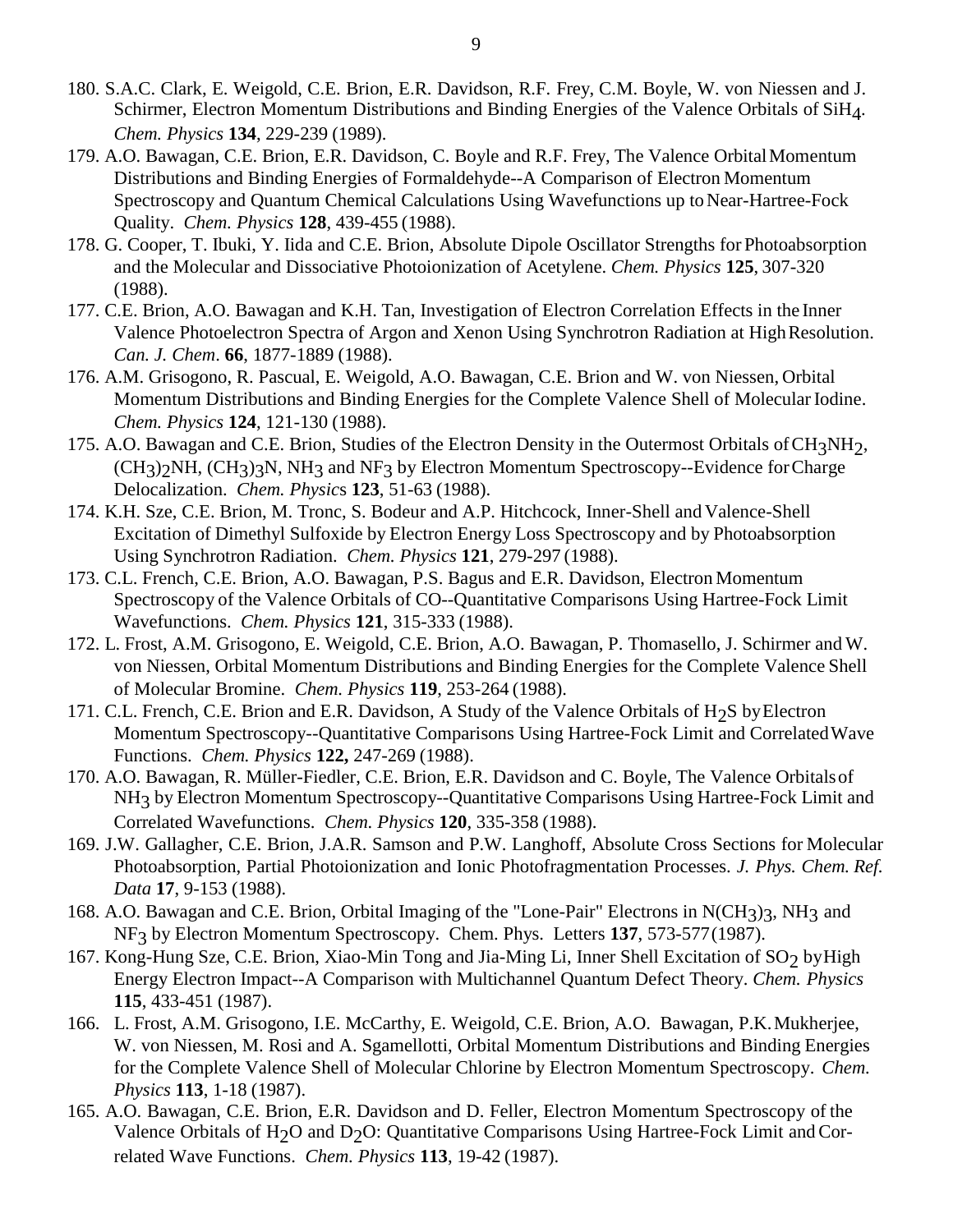- 180. S.A.C. Clark, E. Weigold, C.E. Brion, E.R. Davidson, R.F. Frey, C.M. Boyle, W. von Niessen and J. Schirmer, Electron Momentum Distributions and Binding Energies of the Valence Orbitals of SiH<sub>4</sub>. *Chem. Physics* **134**, 229-239 (1989).
- 179. A.O. Bawagan, C.E. Brion, E.R. Davidson, C. Boyle and R.F. Frey, The Valence OrbitalMomentum Distributions and Binding Energies of Formaldehyde--A Comparison of Electron Momentum Spectroscopy and Quantum Chemical Calculations Using Wavefunctions up to Near-Hartree-Fock Quality. *Chem. Physics* **128**, 439-455 (1988).
- 178. G. Cooper, T. Ibuki, Y. Iida and C.E. Brion, Absolute Dipole Oscillator Strengths for Photoabsorption and the Molecular and Dissociative Photoionization of Acetylene. *Chem. Physics* **125**, 307-320 (1988).
- 177. C.E. Brion, A.O. Bawagan and K.H. Tan, Investigation of Electron Correlation Effects in the Inner Valence Photoelectron Spectra of Argon and Xenon Using Synchrotron Radiation at HighResolution. *Can. J. Chem*. **66**, 1877-1889 (1988).
- 176. A.M. Grisogono, R. Pascual, E. Weigold, A.O. Bawagan, C.E. Brion and W. von Niessen, Orbital Momentum Distributions and Binding Energies for the Complete Valence Shell of Molecular Iodine. *Chem. Physics* **124**, 121-130 (1988).
- 175. A.O. Bawagan and C.E. Brion, Studies of the Electron Density in the Outermost Orbitals of CH3NH2,  $(CH<sub>3</sub>)<sub>2</sub>NH$ ,  $(CH<sub>3</sub>)<sub>3</sub>N$ ,  $NH<sub>3</sub>$  and NF<sub>3</sub> by Electron Momentum Spectroscopy--Evidence for Charge Delocalization. *Chem. Physic*s **123**, 51-63 (1988).
- 174. K.H. Sze, C.E. Brion, M. Tronc, S. Bodeur and A.P. Hitchcock, Inner-Shell and Valence-Shell Excitation of Dimethyl Sulfoxide by Electron Energy Loss Spectroscopy and by Photoabsorption Using Synchrotron Radiation. *Chem. Physics* **121**, 279-297 (1988).
- 173. C.L. French, C.E. Brion, A.O. Bawagan, P.S. Bagus and E.R. Davidson, Electron Momentum Spectroscopy of the Valence Orbitals of CO--Quantitative Comparisons Using Hartree-Fock Limit Wavefunctions. *Chem. Physics* **121**, 315-333 (1988).
- 172. L. Frost, A.M. Grisogono, E. Weigold, C.E. Brion, A.O. Bawagan, P. Thomasello, J. Schirmer and W. von Niessen, Orbital Momentum Distributions and Binding Energies for the Complete Valence Shell of Molecular Bromine. *Chem. Physics* **119**, 253-264 (1988).
- 171. C.L. French, C.E. Brion and E.R. Davidson, A Study of the Valence Orbitals of H2S byElectron Momentum Spectroscopy--Quantitative Comparisons Using Hartree-Fock Limit and CorrelatedWave Functions. *Chem. Physics* **122,** 247-269 (1988).
- 170. A.O. Bawagan, R. Müller-Fiedler, C.E. Brion, E.R. Davidson and C. Boyle, The Valence Orbitalsof NH3 by Electron Momentum Spectroscopy--Quantitative Comparisons Using Hartree-Fock Limit and Correlated Wavefunctions. *Chem. Physics* **120**, 335-358 (1988).
- 169. J.W. Gallagher, C.E. Brion, J.A.R. Samson and P.W. Langhoff, Absolute Cross Sections for Molecular Photoabsorption, Partial Photoionization and Ionic Photofragmentation Processes. *J. Phys. Chem. Ref. Data* **17**, 9-153 (1988).
- 168. A.O. Bawagan and C.E. Brion, Orbital Imaging of the "Lone-Pair" Electrons in N(CH3)3, NH3 and NF3 by Electron Momentum Spectroscopy. Chem. Phys. Letters **137**, 573-577(1987).
- 167. Kong-Hung Sze, C.E. Brion, Xiao-Min Tong and Jia-Ming Li, Inner Shell Excitation of SO<sub>2</sub> by High Energy Electron Impact--A Comparison with Multichannel Quantum Defect Theory. *Chem. Physics* **115**, 433-451 (1987).
- 166. L. Frost, A.M. Grisogono, I.E. McCarthy, E. Weigold, C.E. Brion, A.O. Bawagan, P.K.Mukherjee, W. von Niessen, M. Rosi and A. Sgamellotti, Orbital Momentum Distributions and Binding Energies for the Complete Valence Shell of Molecular Chlorine by Electron Momentum Spectroscopy. *Chem. Physics* **113**, 1-18 (1987).
- 165. A.O. Bawagan, C.E. Brion, E.R. Davidson and D. Feller, Electron Momentum Spectroscopy of the Valence Orbitals of H<sub>2</sub>O and D<sub>2</sub>O: Quantitative Comparisons Using Hartree-Fock Limit and Correlated Wave Functions. *Chem. Physics* **113**, 19-42 (1987).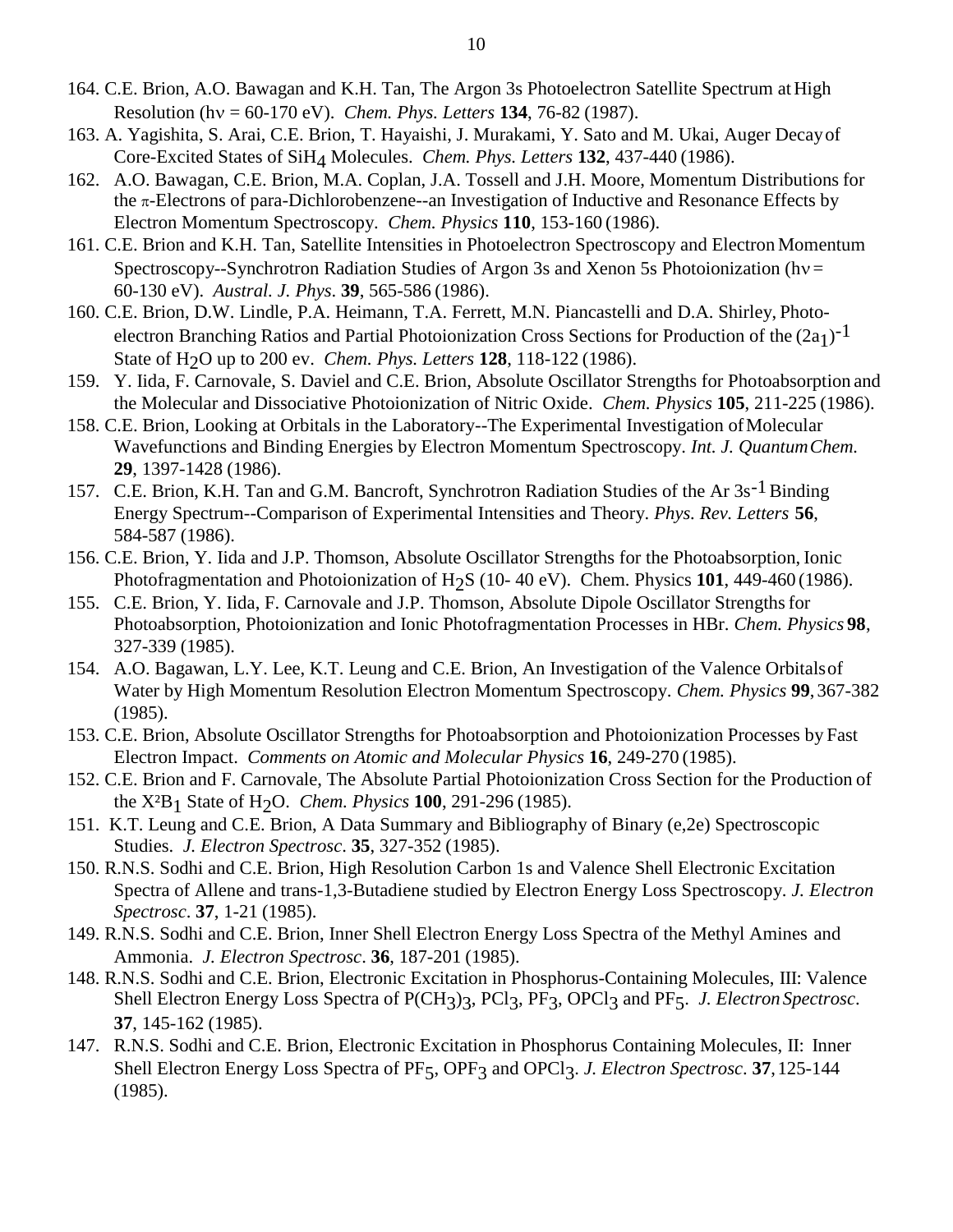- 164. C.E. Brion, A.O. Bawagan and K.H. Tan, The Argon 3s Photoelectron Satellite Spectrum at High Resolution (hv = 60-170 eV). *Chem. Phys. Letters* **134**, 76-82 (1987).
- 163. A. Yagishita, S. Arai, C.E. Brion, T. Hayaishi, J. Murakami, Y. Sato and M. Ukai, Auger Decayof Core-Excited States of SiH4 Molecules. *Chem. Phys. Letters* **132**, 437-440 (1986).
- 162. A.O. Bawagan, C.E. Brion, M.A. Coplan, J.A. Tossell and J.H. Moore, Momentum Distributions for the  $\pi$ -Electrons of para-Dichlorobenzene--an Investigation of Inductive and Resonance Effects by Electron Momentum Spectroscopy. *Chem. Physics* **110**, 153-160 (1986).
- 161. C.E. Brion and K.H. Tan, Satellite Intensities in Photoelectron Spectroscopy and Electron Momentum Spectroscopy--Synchrotron Radiation Studies of Argon 3s and Xenon 5s Photoionization ( $hv =$ 60-130 eV). *Austral. J. Phys*. **39**, 565-586 (1986).
- 160. C.E. Brion, D.W. Lindle, P.A. Heimann, T.A. Ferrett, M.N. Piancastelli and D.A. Shirley, Photoelectron Branching Ratios and Partial Photoionization Cross Sections for Production of the  $(2a_1)^{-1}$ State of H2O up to 200 ev. *Chem. Phys. Letters* **128**, 118-122 (1986).
- 159. Y. Iida, F. Carnovale, S. Daviel and C.E. Brion, Absolute Oscillator Strengths for Photoabsorption and the Molecular and Dissociative Photoionization of Nitric Oxide. *Chem. Physics* **105**, 211-225 (1986).
- 158. C.E. Brion, Looking at Orbitals in the Laboratory--The Experimental Investigation ofMolecular Wavefunctions and Binding Energies by Electron Momentum Spectroscopy. *Int. J. QuantumChem.*  **29**, 1397-1428 (1986).
- 157. C.E. Brion, K.H. Tan and G.M. Bancroft, Synchrotron Radiation Studies of the Ar 3s<sup>-1</sup> Binding Energy Spectrum--Comparison of Experimental Intensities and Theory. *Phys. Rev. Letters* **56**, 584-587 (1986).
- 156. C.E. Brion, Y. Iida and J.P. Thomson, Absolute Oscillator Strengths for the Photoabsorption, Ionic Photofragmentation and Photoionization of H<sub>2</sub>S (10-40 eV). Chem. Physics 101, 449-460 (1986).
- 155. C.E. Brion, Y. Iida, F. Carnovale and J.P. Thomson, Absolute Dipole Oscillator Strengthsfor Photoabsorption, Photoionization and Ionic Photofragmentation Processes in HBr. *Chem. Physics* **98**, 327-339 (1985).
- 154. A.O. Bagawan, L.Y. Lee, K.T. Leung and C.E. Brion, An Investigation of the Valence Orbitalsof Water by High Momentum Resolution Electron Momentum Spectroscopy. *Chem. Physics* **99**, 367-382 (1985).
- 153. C.E. Brion, Absolute Oscillator Strengths for Photoabsorption and Photoionization Processes by Fast Electron Impact. *Comments on Atomic and Molecular Physics* **16**, 249-270 (1985).
- 152. C.E. Brion and F. Carnovale, The Absolute Partial Photoionization Cross Section for the Production of the X²B1 State of H2O. *Chem. Physics* **100**, 291-296 (1985).
- 151. K.T. Leung and C.E. Brion, A Data Summary and Bibliography of Binary (e,2e) Spectroscopic Studies. *J. Electron Spectrosc*. **35**, 327-352 (1985).
- 150. R.N.S. Sodhi and C.E. Brion, High Resolution Carbon 1s and Valence Shell Electronic Excitation Spectra of Allene and trans-1,3-Butadiene studied by Electron Energy Loss Spectroscopy. *J. Electron Spectrosc*. **37**, 1-21 (1985).
- 149. R.N.S. Sodhi and C.E. Brion, Inner Shell Electron Energy Loss Spectra of the Methyl Amines and Ammonia. *J. Electron Spectrosc*. **36**, 187-201 (1985).
- 148. R.N.S. Sodhi and C.E. Brion, Electronic Excitation in Phosphorus-Containing Molecules, III: Valence Shell Electron Energy Loss Spectra of P(CH3)3, PCl3, PF3, OPCl3 and PF5. *J. Electron Spectrosc*. **37**, 145-162 (1985).
- 147. R.N.S. Sodhi and C.E. Brion, Electronic Excitation in Phosphorus Containing Molecules, II: Inner Shell Electron Energy Loss Spectra of PF5, OPF3 and OPCl3. *J. Electron Spectrosc*. **37**,125-144 (1985).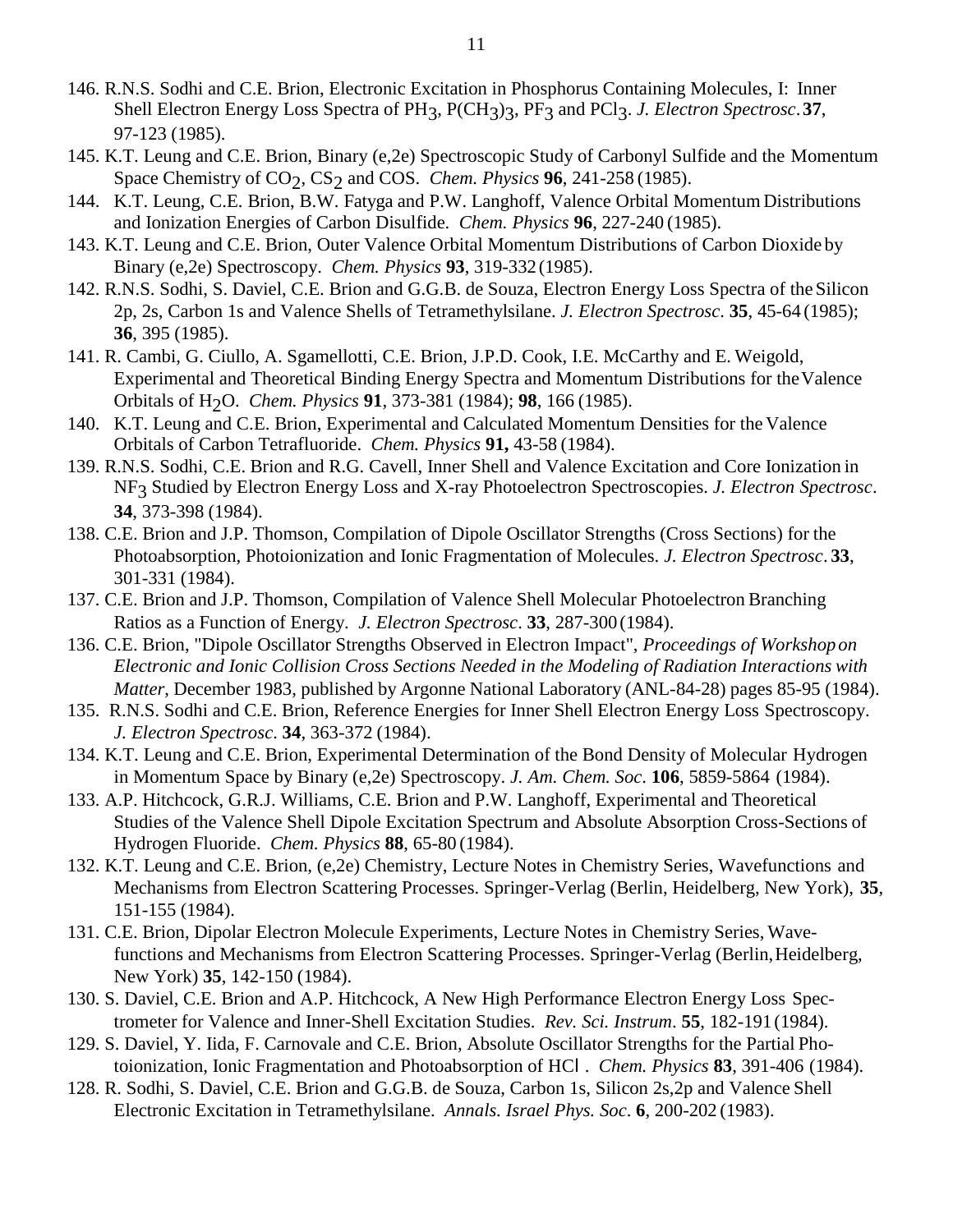- 146. R.N.S. Sodhi and C.E. Brion, Electronic Excitation in Phosphorus Containing Molecules, I: Inner Shell Electron Energy Loss Spectra of PH3, P(CH3)3, PF3 and PCl3. *J. Electron Spectrosc*.**37**, 97-123 (1985).
- 145. K.T. Leung and C.E. Brion, Binary (e,2e) Spectroscopic Study of Carbonyl Sulfide and the Momentum Space Chemistry of CO<sub>2</sub>, CS<sub>2</sub> and COS. *Chem. Physics* **96**, 241-258 (1985).
- 144. K.T. Leung, C.E. Brion, B.W. Fatyga and P.W. Langhoff, Valence Orbital Momentum Distributions and Ionization Energies of Carbon Disulfide. *Chem. Physics* **96**, 227-240 (1985).
- 143. K.T. Leung and C.E. Brion, Outer Valence Orbital Momentum Distributions of Carbon Dioxide by Binary (e,2e) Spectroscopy. *Chem. Physics* **93**, 319-332(1985).
- 142. R.N.S. Sodhi, S. Daviel, C.E. Brion and G.G.B. de Souza, Electron Energy Loss Spectra of the Silicon 2p, 2s, Carbon 1s and Valence Shells of Tetramethylsilane. *J. Electron Spectrosc*. **35**, 45-64 (1985); **36**, 395 (1985).
- 141. R. Cambi, G. Ciullo, A. Sgamellotti, C.E. Brion, J.P.D. Cook, I.E. McCarthy and E. Weigold, Experimental and Theoretical Binding Energy Spectra and Momentum Distributions for theValence Orbitals of H2O. *Chem. Physics* **91**, 373-381 (1984); **98**, 166 (1985).
- 140. K.T. Leung and C.E. Brion, Experimental and Calculated Momentum Densities for the Valence Orbitals of Carbon Tetrafluoride. *Chem. Physics* **91,** 43-58 (1984).
- 139. R.N.S. Sodhi, C.E. Brion and R.G. Cavell, Inner Shell and Valence Excitation and Core Ionization in NF3 Studied by Electron Energy Loss and X-ray Photoelectron Spectroscopies. *J. Electron Spectrosc*. **34**, 373-398 (1984).
- 138. C.E. Brion and J.P. Thomson, Compilation of Dipole Oscillator Strengths (Cross Sections) for the Photoabsorption, Photoionization and Ionic Fragmentation of Molecules. *J. Electron Spectrosc*. **33**, 301-331 (1984).
- 137. C.E. Brion and J.P. Thomson, Compilation of Valence Shell Molecular Photoelectron Branching Ratios as a Function of Energy. *J. Electron Spectrosc*. **33**, 287-300 (1984).
- 136. C.E. Brion, "Dipole Oscillator Strengths Observed in Electron Impact", *Proceedings of Workshop on Electronic and Ionic Collision Cross Sections Needed in the Modeling of Radiation Interactions with Matter*, December 1983, published by Argonne National Laboratory (ANL-84-28) pages 85-95 (1984).
- 135. R.N.S. Sodhi and C.E. Brion, Reference Energies for Inner Shell Electron Energy Loss Spectroscopy. *J. Electron Spectrosc*. **34**, 363-372 (1984).
- 134. K.T. Leung and C.E. Brion, Experimental Determination of the Bond Density of Molecular Hydrogen in Momentum Space by Binary (e,2e) Spectroscopy. *J. Am. Chem. Soc*. **106**, 5859-5864 (1984).
- 133. A.P. Hitchcock, G.R.J. Williams, C.E. Brion and P.W. Langhoff, Experimental and Theoretical Studies of the Valence Shell Dipole Excitation Spectrum and Absolute Absorption Cross-Sections of Hydrogen Fluoride. *Chem. Physics* **88**, 65-80 (1984).
- 132. K.T. Leung and C.E. Brion, (e,2e) Chemistry, Lecture Notes in Chemistry Series, Wavefunctions and Mechanisms from Electron Scattering Processes. Springer-Verlag (Berlin, Heidelberg, New York), **35**, 151-155 (1984).
- 131. C.E. Brion, Dipolar Electron Molecule Experiments, Lecture Notes in Chemistry Series, Wavefunctions and Mechanisms from Electron Scattering Processes. Springer-Verlag (Berlin, Heidelberg, New York) **35**, 142-150 (1984).
- 130. S. Daviel, C.E. Brion and A.P. Hitchcock, A New High Performance Electron Energy Loss Spectrometer for Valence and Inner-Shell Excitation Studies. *Rev. Sci. Instrum*. **55**, 182-191 (1984).
- 129. S. Daviel, Y. Iida, F. Carnovale and C.E. Brion, Absolute Oscillator Strengths for the Partial Photoionization, Ionic Fragmentation and Photoabsorption of HCl . *Chem. Physics* **83**, 391-406 (1984).
- 128. R. Sodhi, S. Daviel, C.E. Brion and G.G.B. de Souza, Carbon 1s, Silicon 2s,2p and Valence Shell Electronic Excitation in Tetramethylsilane. *Annals. Israel Phys. Soc*. **6**, 200-202 (1983).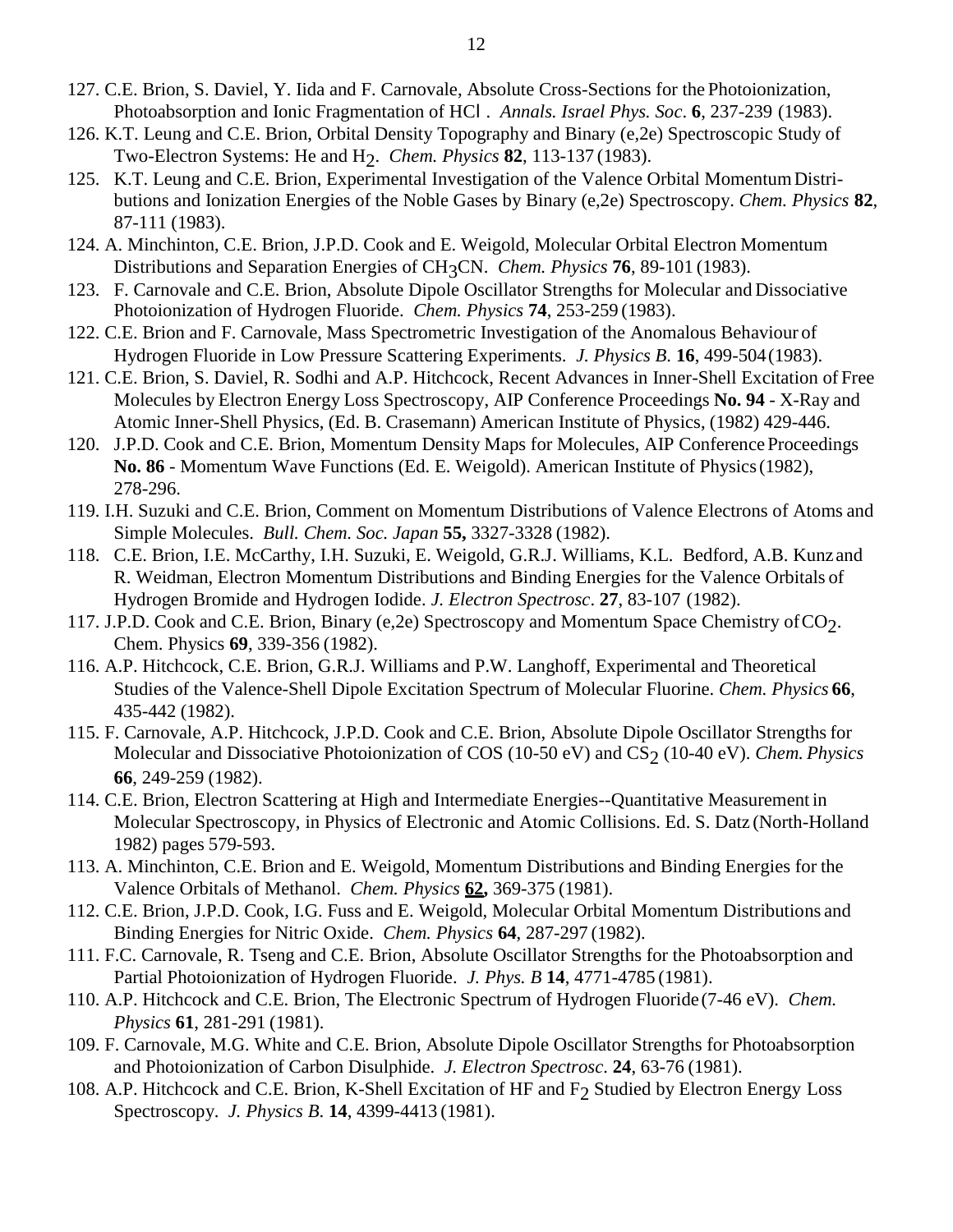- 127. C.E. Brion, S. Daviel, Y. Iida and F. Carnovale, Absolute Cross-Sections for the Photoionization, Photoabsorption and Ionic Fragmentation of HCl . *Annals. Israel Phys. Soc*. **6**, 237-239 (1983).
- 126. K.T. Leung and C.E. Brion, Orbital Density Topography and Binary (e,2e) Spectroscopic Study of Two-Electron Systems: He and H2. *Chem. Physics* **82**, 113-137 (1983).
- 125. K.T. Leung and C.E. Brion, Experimental Investigation of the Valence Orbital MomentumDistributions and Ionization Energies of the Noble Gases by Binary (e,2e) Spectroscopy. *Chem. Physics* **82**, 87-111 (1983).
- 124. A. Minchinton, C.E. Brion, J.P.D. Cook and E. Weigold, Molecular Orbital Electron Momentum Distributions and Separation Energies of CH3CN. *Chem. Physics* **76**, 89-101 (1983).
- 123. F. Carnovale and C.E. Brion, Absolute Dipole Oscillator Strengths for Molecular and Dissociative Photoionization of Hydrogen Fluoride. *Chem. Physics* **74**, 253-259 (1983).
- 122. C.E. Brion and F. Carnovale, Mass Spectrometric Investigation of the Anomalous Behaviour of Hydrogen Fluoride in Low Pressure Scattering Experiments. *J. Physics B*. **16**, 499-504(1983).
- 121. C.E. Brion, S. Daviel, R. Sodhi and A.P. Hitchcock, Recent Advances in Inner-Shell Excitation of Free Molecules by Electron Energy Loss Spectroscopy, AIP Conference Proceedings **No. 94** - X-Ray and Atomic Inner-Shell Physics, (Ed. B. Crasemann) American Institute of Physics, (1982) 429-446.
- 120. J.P.D. Cook and C.E. Brion, Momentum Density Maps for Molecules, AIP Conference Proceedings **No. 86** - Momentum Wave Functions (Ed. E. Weigold). American Institute of Physics(1982), 278-296.
- 119. I.H. Suzuki and C.E. Brion, Comment on Momentum Distributions of Valence Electrons of Atoms and Simple Molecules. *Bull. Chem. Soc. Japan* **55,** 3327-3328 (1982).
- 118. C.E. Brion, I.E. McCarthy, I.H. Suzuki, E. Weigold, G.R.J. Williams, K.L. Bedford, A.B. Kunz and R. Weidman, Electron Momentum Distributions and Binding Energies for the Valence Orbitals of Hydrogen Bromide and Hydrogen Iodide. *J. Electron Spectrosc*. **27**, 83-107 (1982).
- 117. J.P.D. Cook and C.E. Brion, Binary (e, 2e) Spectroscopy and Momentum Space Chemistry of  $CO_2$ . Chem. Physics **69**, 339-356 (1982).
- 116. A.P. Hitchcock, C.E. Brion, G.R.J. Williams and P.W. Langhoff, Experimental and Theoretical Studies of the Valence-Shell Dipole Excitation Spectrum of Molecular Fluorine. *Chem. Physics* **66**, 435-442 (1982).
- 115. F. Carnovale, A.P. Hitchcock, J.P.D. Cook and C.E. Brion, Absolute Dipole Oscillator Strengthsfor Molecular and Dissociative Photoionization of COS (10-50 eV) and CS<sub>2</sub> (10-40 eV). *Chem. Physics* **66**, 249-259 (1982).
- 114. C.E. Brion, Electron Scattering at High and Intermediate Energies--Quantitative Measurement in Molecular Spectroscopy, in Physics of Electronic and Atomic Collisions. Ed. S. Datz (North-Holland 1982) pages 579-593.
- 113. A. Minchinton, C.E. Brion and E. Weigold, Momentum Distributions and Binding Energies for the Valence Orbitals of Methanol. *Chem. Physics* **62,** 369-375 (1981).
- 112. C.E. Brion, J.P.D. Cook, I.G. Fuss and E. Weigold, Molecular Orbital Momentum Distributions and Binding Energies for Nitric Oxide. *Chem. Physics* **64**, 287-297 (1982).
- 111. F.C. Carnovale, R. Tseng and C.E. Brion, Absolute Oscillator Strengths for the Photoabsorption and Partial Photoionization of Hydrogen Fluoride. *J. Phys. B* **14**, 4771-4785 (1981).
- 110. A.P. Hitchcock and C.E. Brion, The Electronic Spectrum of Hydrogen Fluoride(7-46 eV). *Chem. Physics* **61**, 281-291 (1981).
- 109. F. Carnovale, M.G. White and C.E. Brion, Absolute Dipole Oscillator Strengths for Photoabsorption and Photoionization of Carbon Disulphide. *J. Electron Spectrosc*. **24**, 63-76 (1981).
- 108. A.P. Hitchcock and C.E. Brion, K-Shell Excitation of HF and  $F<sub>2</sub>$  Studied by Electron Energy Loss Spectroscopy. *J. Physics B*. **14**, 4399-4413 (1981).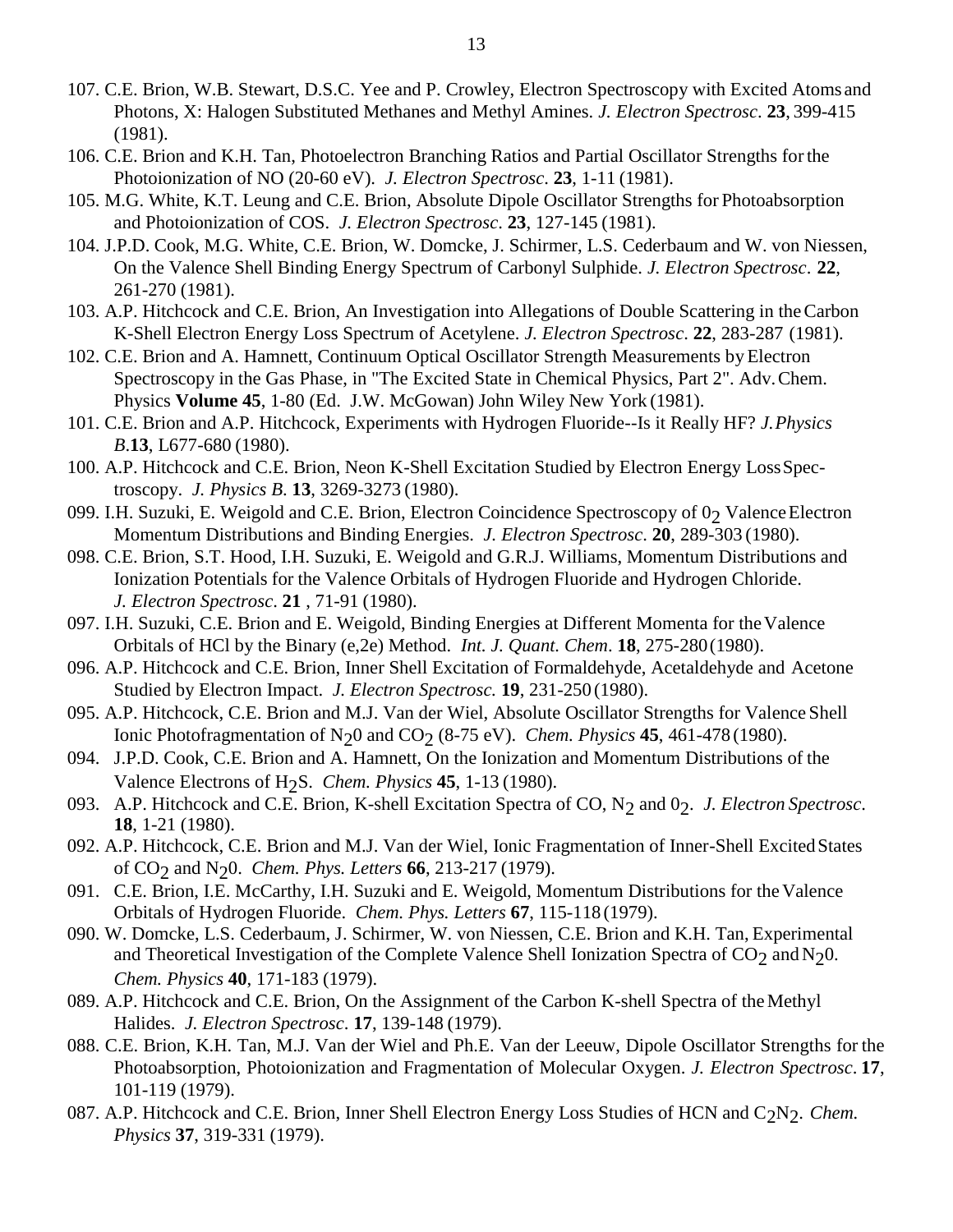- 107. C.E. Brion, W.B. Stewart, D.S.C. Yee and P. Crowley, Electron Spectroscopy with Excited Atoms and Photons, X: Halogen Substituted Methanes and Methyl Amines. *J. Electron Spectrosc*. **23**, 399-415 (1981).
- 106. C.E. Brion and K.H. Tan, Photoelectron Branching Ratios and Partial Oscillator Strengths forthe Photoionization of NO (20-60 eV). *J. Electron Spectrosc*. **23**, 1-11 (1981).
- 105. M.G. White, K.T. Leung and C.E. Brion, Absolute Dipole Oscillator Strengths for Photoabsorption and Photoionization of COS. *J. Electron Spectrosc*. **23**, 127-145 (1981).
- 104. J.P.D. Cook, M.G. White, C.E. Brion, W. Domcke, J. Schirmer, L.S. Cederbaum and W. von Niessen, On the Valence Shell Binding Energy Spectrum of Carbonyl Sulphide. *J. Electron Spectrosc*. **22**, 261-270 (1981).
- 103. A.P. Hitchcock and C.E. Brion, An Investigation into Allegations of Double Scattering in theCarbon K-Shell Electron Energy Loss Spectrum of Acetylene. *J. Electron Spectrosc*. **22**, 283-287 (1981).
- 102. C.E. Brion and A. Hamnett, Continuum Optical Oscillator Strength Measurements by Electron Spectroscopy in the Gas Phase, in "The Excited State in Chemical Physics, Part 2". Adv.Chem. Physics **Volume 45**, 1-80 (Ed. J.W. McGowan) John Wiley New York (1981).
- 101. C.E. Brion and A.P. Hitchcock, Experiments with Hydrogen Fluoride--Is it Really HF? *J.Physics B*.**13**, L677-680 (1980).
- 100. A.P. Hitchcock and C.E. Brion, Neon K-Shell Excitation Studied by Electron Energy LossSpectroscopy. *J. Physics B*. **13**, 3269-3273 (1980).
- 099. I.H. Suzuki, E. Weigold and C.E. Brion, Electron Coincidence Spectroscopy of  $0<sub>2</sub>$  Valence Electron Momentum Distributions and Binding Energies. *J. Electron Spectrosc*. **20**, 289-303 (1980).
- 098. C.E. Brion, S.T. Hood, I.H. Suzuki, E. Weigold and G.R.J. Williams, Momentum Distributions and Ionization Potentials for the Valence Orbitals of Hydrogen Fluoride and Hydrogen Chloride. *J. Electron Spectrosc*. **21** , 71-91 (1980).
- 097. I.H. Suzuki, C.E. Brion and E. Weigold, Binding Energies at Different Momenta for the Valence Orbitals of HCl by the Binary (e,2e) Method. *Int. J. Quant. Chem*. **18**, 275-280(1980).
- 096. A.P. Hitchcock and C.E. Brion, Inner Shell Excitation of Formaldehyde, Acetaldehyde and Acetone Studied by Electron Impact. *J. Electron Spectrosc.* **19**, 231-250 (1980).
- 095. A.P. Hitchcock, C.E. Brion and M.J. Van der Wiel, Absolute Oscillator Strengths for Valence Shell Ionic Photofragmentation of N<sub>2</sub>0 and CO<sub>2</sub> (8-75 eV). *Chem. Physics* **45**, 461-478 (1980).
- 094. J.P.D. Cook, C.E. Brion and A. Hamnett, On the Ionization and Momentum Distributions of the Valence Electrons of H2S. *Chem. Physics* **45**, 1-13 (1980).
- 093. A.P. Hitchcock and C.E. Brion, K-shell Excitation Spectra of CO, N<sub>2</sub> and 0<sub>2</sub>. *J. Electron Spectrosc*. **18**, 1-21 (1980).
- 092. A.P. Hitchcock, C.E. Brion and M.J. Van der Wiel, Ionic Fragmentation of Inner-Shell Excited States of CO2 and N20. *Chem. Phys. Letters* **66**, 213-217 (1979).
- 091. C.E. Brion, I.E. McCarthy, I.H. Suzuki and E. Weigold, Momentum Distributions for theValence Orbitals of Hydrogen Fluoride. *Chem. Phys. Letters* **67**, 115-118 (1979).
- 090. W. Domcke, L.S. Cederbaum, J. Schirmer, W. von Niessen, C.E. Brion and K.H. Tan, Experimental and Theoretical Investigation of the Complete Valence Shell Ionization Spectra of  $CO<sub>2</sub>$  and N<sub>2</sub>0. *Chem. Physics* **40**, 171-183 (1979).
- 089. A.P. Hitchcock and C.E. Brion, On the Assignment of the Carbon K-shell Spectra of the Methyl Halides. *J. Electron Spectrosc*. **17**, 139-148 (1979).
- 088. C.E. Brion, K.H. Tan, M.J. Van der Wiel and Ph.E. Van der Leeuw, Dipole Oscillator Strengths for the Photoabsorption, Photoionization and Fragmentation of Molecular Oxygen. *J. Electron Spectrosc*. **17**, 101-119 (1979).
- 087. A.P. Hitchcock and C.E. Brion, Inner Shell Electron Energy Loss Studies of HCN and C<sub>2</sub>N<sub>2</sub>. *Chem. Physics* **37**, 319-331 (1979).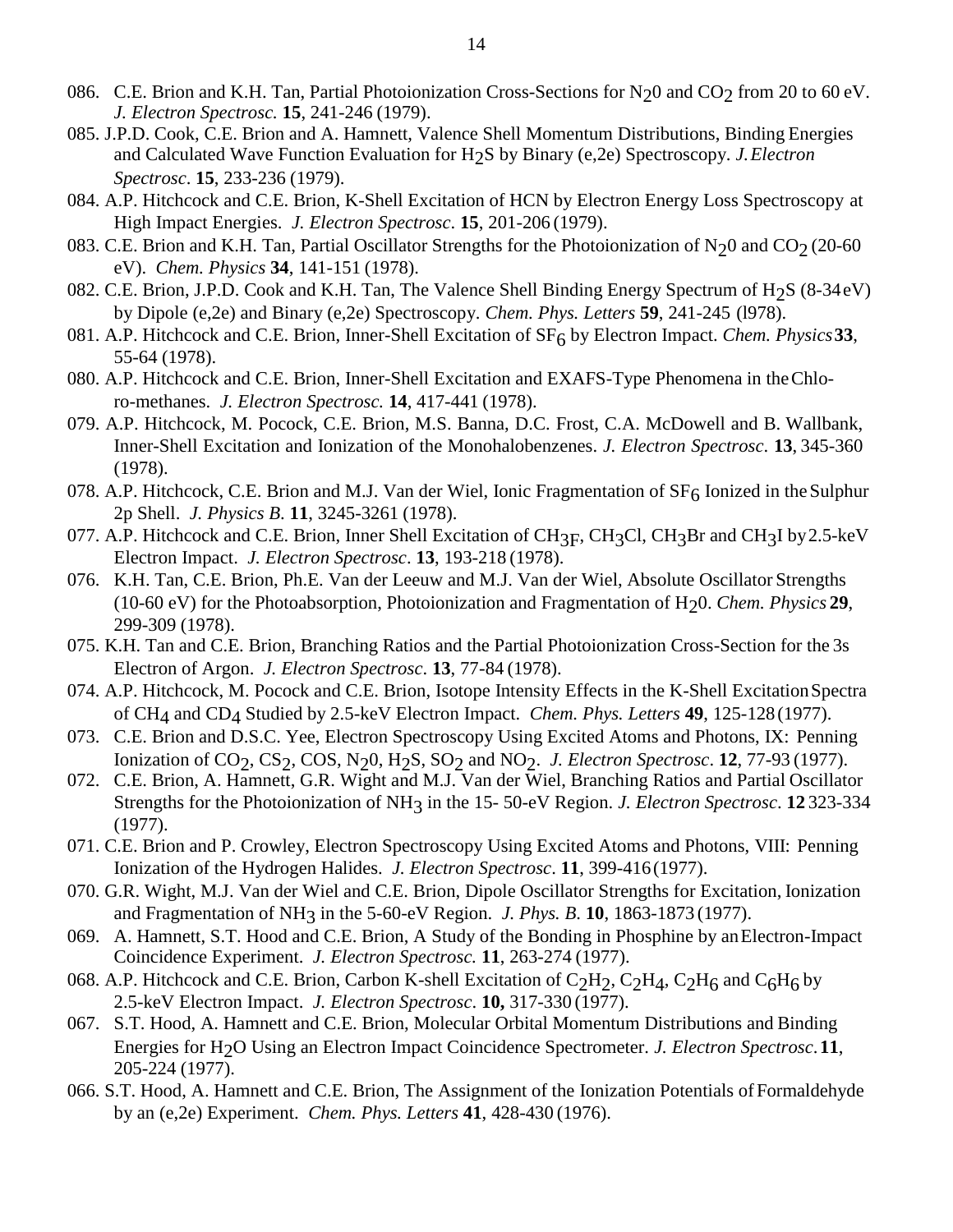- 086. C.E. Brion and K.H. Tan, Partial Photoionization Cross-Sections for  $N_2$ 0 and CO<sub>2</sub> from 20 to 60 eV. *J. Electron Spectrosc.* **15**, 241-246 (1979).
- 085. J.P.D. Cook, C.E. Brion and A. Hamnett, Valence Shell Momentum Distributions, Binding Energies and Calculated Wave Function Evaluation for H2S by Binary (e,2e) Spectroscopy. *J.Electron Spectrosc*. **15**, 233-236 (1979).
- 084. A.P. Hitchcock and C.E. Brion, K-Shell Excitation of HCN by Electron Energy Loss Spectroscopy at High Impact Energies. *J. Electron Spectrosc*. **15**, 201-206 (1979).
- 083. C.E. Brion and K.H. Tan, Partial Oscillator Strengths for the Photoionization of  $N_20$  and  $CO_2$  (20-60 eV). *Chem. Physics* **34**, 141-151 (1978).
- 082. C.E. Brion, J.P.D. Cook and K.H. Tan, The Valence Shell Binding Energy Spectrum of  $H<sub>2</sub>$ S (8-34eV) by Dipole (e,2e) and Binary (e,2e) Spectroscopy. *Chem. Phys. Letters* **59**, 241-245 (l978).
- 081. A.P. Hitchcock and C.E. Brion, Inner-Shell Excitation of SF<sub>6</sub> by Electron Impact. *Chem. Physics* 33, 55-64 (1978).
- 080. A.P. Hitchcock and C.E. Brion, Inner-Shell Excitation and EXAFS-Type Phenomena in theChloro-methanes. *J. Electron Spectrosc.* **14**, 417-441 (1978).
- 079. A.P. Hitchcock, M. Pocock, C.E. Brion, M.S. Banna, D.C. Frost, C.A. McDowell and B. Wallbank, Inner-Shell Excitation and Ionization of the Monohalobenzenes. *J. Electron Spectrosc*. **13**, 345-360 (1978).
- 078. A.P. Hitchcock, C.E. Brion and M.J. Van der Wiel, Ionic Fragmentation of  $SF<sub>6</sub>$  Ionized in the Sulphur 2p Shell. *J. Physics B*. **11**, 3245-3261 (1978).
- 077. A.P. Hitchcock and C.E. Brion, Inner Shell Excitation of CH<sub>3F</sub>, CH<sub>3</sub>Cl, CH<sub>3</sub>Br and CH<sub>3</sub>I by 2.5-keV Electron Impact. *J. Electron Spectrosc*. **13**, 193-218 (1978).
- 076. K.H. Tan, C.E. Brion, Ph.E. Van der Leeuw and M.J. Van der Wiel, Absolute Oscillator Strengths (10-60 eV) for the Photoabsorption, Photoionization and Fragmentation of  $H_2$ 0. *Chem. Physics* 29, 299-309 (1978).
- 075. K.H. Tan and C.E. Brion, Branching Ratios and the Partial Photoionization Cross-Section for the 3s Electron of Argon. *J. Electron Spectrosc*. **13**, 77-84 (1978).
- 074. A.P. Hitchcock, M. Pocock and C.E. Brion, Isotope Intensity Effects in the K-Shell ExcitationSpectra of CH4 and CD4 Studied by 2.5-keV Electron Impact. *Chem. Phys. Letters* **49**, 125-128(1977).
- 073. C.E. Brion and D.S.C. Yee, Electron Spectroscopy Using Excited Atoms and Photons, IX: Penning Ionization of CO2, CS2, COS, N20, H2S, SO2 and NO2. *J. Electron Spectrosc*. **12**, 77-93 (1977).
- 072. C.E. Brion, A. Hamnett, G.R. Wight and M.J. Van der Wiel, Branching Ratios and Partial Oscillator Strengths for the Photoionization of NH3 in the 15- 50-eV Region. *J. Electron Spectrosc*. **12** 323-334 (1977).
- 071. C.E. Brion and P. Crowley, Electron Spectroscopy Using Excited Atoms and Photons, VIII: Penning Ionization of the Hydrogen Halides. *J. Electron Spectrosc*. **11**, 399-416(1977).
- 070. G.R. Wight, M.J. Van der Wiel and C.E. Brion, Dipole Oscillator Strengths for Excitation, Ionization and Fragmentation of NH3 in the 5-60-eV Region. *J. Phys. B*. **10**, 1863-1873 (1977).
- 069. A. Hamnett, S.T. Hood and C.E. Brion, A Study of the Bonding in Phosphine by anElectron-Impact Coincidence Experiment. *J. Electron Spectrosc.* **11**, 263-274 (1977).
- 068. A.P. Hitchcock and C.E. Brion, Carbon K-shell Excitation of  $C_2H_2$ ,  $C_2H_4$ ,  $C_2H_6$  and  $C_6H_6$  by 2.5-keV Electron Impact. *J. Electron Spectrosc*. **10,** 317-330 (1977).
- 067. S.T. Hood, A. Hamnett and C.E. Brion, Molecular Orbital Momentum Distributions and Binding Energies for H2O Using an Electron Impact Coincidence Spectrometer. *J. Electron Spectrosc*.**11**, 205-224 (1977).
- 066. S.T. Hood, A. Hamnett and C.E. Brion, The Assignment of the Ionization Potentials of Formaldehyde by an (e,2e) Experiment. *Chem. Phys. Letters* **41**, 428-430 (1976).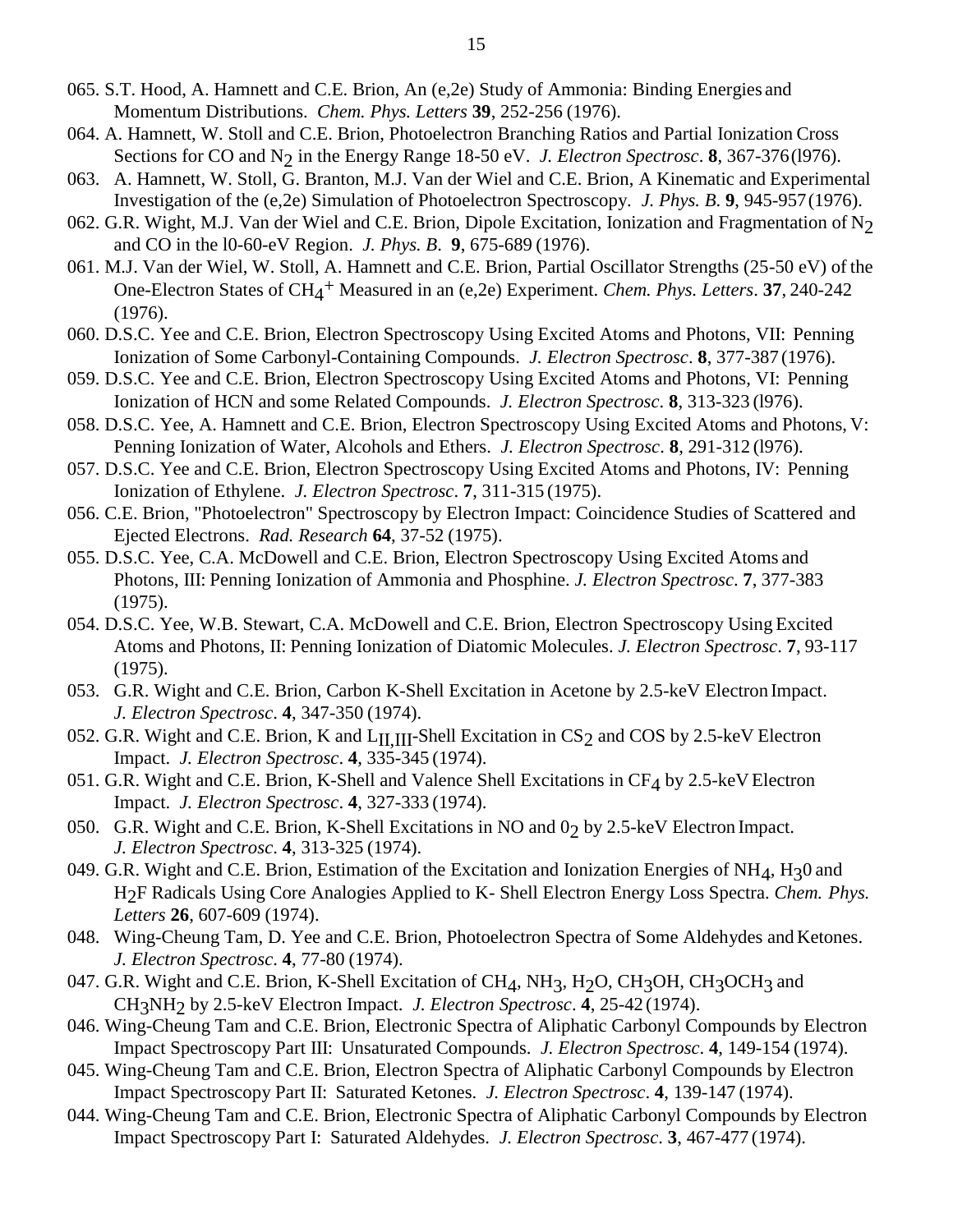- 065. S.T. Hood, A. Hamnett and C.E. Brion, An (e,2e) Study of Ammonia: Binding Energies and Momentum Distributions. *Chem. Phys. Letters* **39**, 252-256 (1976).
- 064. A. Hamnett, W. Stoll and C.E. Brion, Photoelectron Branching Ratios and Partial Ionization Cross Sections for CO and N<sub>2</sub> in the Energy Range 18-50 eV. *J. Electron Spectrosc*. **8**, 367-376(1976).
- 063. A. Hamnett, W. Stoll, G. Branton, M.J. Van der Wiel and C.E. Brion, A Kinematic and Experimental Investigation of the (e,2e) Simulation of Photoelectron Spectroscopy. *J. Phys. B*. **9**, 945-957(1976).
- 062. G.R. Wight, M.J. Van der Wiel and C.E. Brion, Dipole Excitation, Ionization and Fragmentation of N<sub>2</sub> and CO in the l0-60-eV Region. *J. Phys. B*. **9**, 675-689 (1976).
- 061. M.J. Van der Wiel, W. Stoll, A. Hamnett and C.E. Brion, Partial Oscillator Strengths (25-50 eV) of the One-Electron States of CH4 + Measured in an (e,2e) Experiment. *Chem. Phys. Letters*. **37**, 240-242 (1976).
- 060. D.S.C. Yee and C.E. Brion, Electron Spectroscopy Using Excited Atoms and Photons, VII: Penning Ionization of Some Carbonyl-Containing Compounds. *J. Electron Spectrosc*. **8**, 377-387 (1976).
- 059. D.S.C. Yee and C.E. Brion, Electron Spectroscopy Using Excited Atoms and Photons, VI: Penning Ionization of HCN and some Related Compounds. *J. Electron Spectrosc*. **8**, 313-323 (l976).
- 058. D.S.C. Yee, A. Hamnett and C.E. Brion, Electron Spectroscopy Using Excited Atoms and Photons, V: Penning Ionization of Water, Alcohols and Ethers. *J. Electron Spectrosc*. **8**, 291-312 (l976).
- 057. D.S.C. Yee and C.E. Brion, Electron Spectroscopy Using Excited Atoms and Photons, IV: Penning Ionization of Ethylene. *J. Electron Spectrosc*. **7**, 311-315 (1975).
- 056. C.E. Brion, "Photoelectron" Spectroscopy by Electron Impact: Coincidence Studies of Scattered and Ejected Electrons. *Rad. Research* **64**, 37-52 (1975).
- 055. D.S.C. Yee, C.A. McDowell and C.E. Brion, Electron Spectroscopy Using Excited Atoms and Photons, III: Penning Ionization of Ammonia and Phosphine. *J. Electron Spectrosc*. **7**, 377-383 (1975).
- 054. D.S.C. Yee, W.B. Stewart, C.A. McDowell and C.E. Brion, Electron Spectroscopy Using Excited Atoms and Photons, II: Penning Ionization of Diatomic Molecules. *J. Electron Spectrosc*. **7**, 93-117 (1975).
- 053. G.R. Wight and C.E. Brion, Carbon K-Shell Excitation in Acetone by 2.5-keV Electron Impact. *J. Electron Spectrosc*. **4**, 347-350 (1974).
- 052. G.R. Wight and C.E. Brion, K and  $L<sub>II</sub>$ <sub>III</sub>-Shell Excitation in CS<sub>2</sub> and COS by 2.5-keV Electron Impact. *J. Electron Spectrosc*. **4**, 335-345 (1974).
- 051. G.R. Wight and C.E. Brion, K-Shell and Valence Shell Excitations in  $CF_4$  by 2.5-keV Electron Impact. *J. Electron Spectrosc*. **4**, 327-333 (1974).
- 050. G.R. Wight and C.E. Brion, K-Shell Excitations in NO and 02 by 2.5-keV Electron Impact. *J. Electron Spectrosc*. **4**, 313-325 (1974).
- 049. G.R. Wight and C.E. Brion, Estimation of the Excitation and Ionization Energies of NH<sub>4</sub>, H<sub>3</sub>0 and H2F Radicals Using Core Analogies Applied to K- Shell Electron Energy Loss Spectra. *Chem. Phys. Letters* **26**, 607-609 (1974).
- 048. Wing-Cheung Tam, D. Yee and C.E. Brion, Photoelectron Spectra of Some Aldehydes and Ketones. *J. Electron Spectrosc*. **4**, 77-80 (1974).
- 047. G.R. Wight and C.E. Brion, K-Shell Excitation of  $CH_4$ ,  $NH_3$ ,  $H_2O$ ,  $CH_3OH$ ,  $CH_3OCH_3$  and CH3NH2 by 2.5-keV Electron Impact. *J. Electron Spectrosc*. **4**, 25-42 (1974).
- 046. Wing-Cheung Tam and C.E. Brion, Electronic Spectra of Aliphatic Carbonyl Compounds by Electron Impact Spectroscopy Part III: Unsaturated Compounds. *J. Electron Spectrosc*. **4**, 149-154 (1974).
- 045. Wing-Cheung Tam and C.E. Brion, Electron Spectra of Aliphatic Carbonyl Compounds by Electron Impact Spectroscopy Part II: Saturated Ketones. *J. Electron Spectrosc*. **4**, 139-147 (1974).
- 044. Wing-Cheung Tam and C.E. Brion, Electronic Spectra of Aliphatic Carbonyl Compounds by Electron Impact Spectroscopy Part I: Saturated Aldehydes. *J. Electron Spectrosc*. **3**, 467-477 (1974).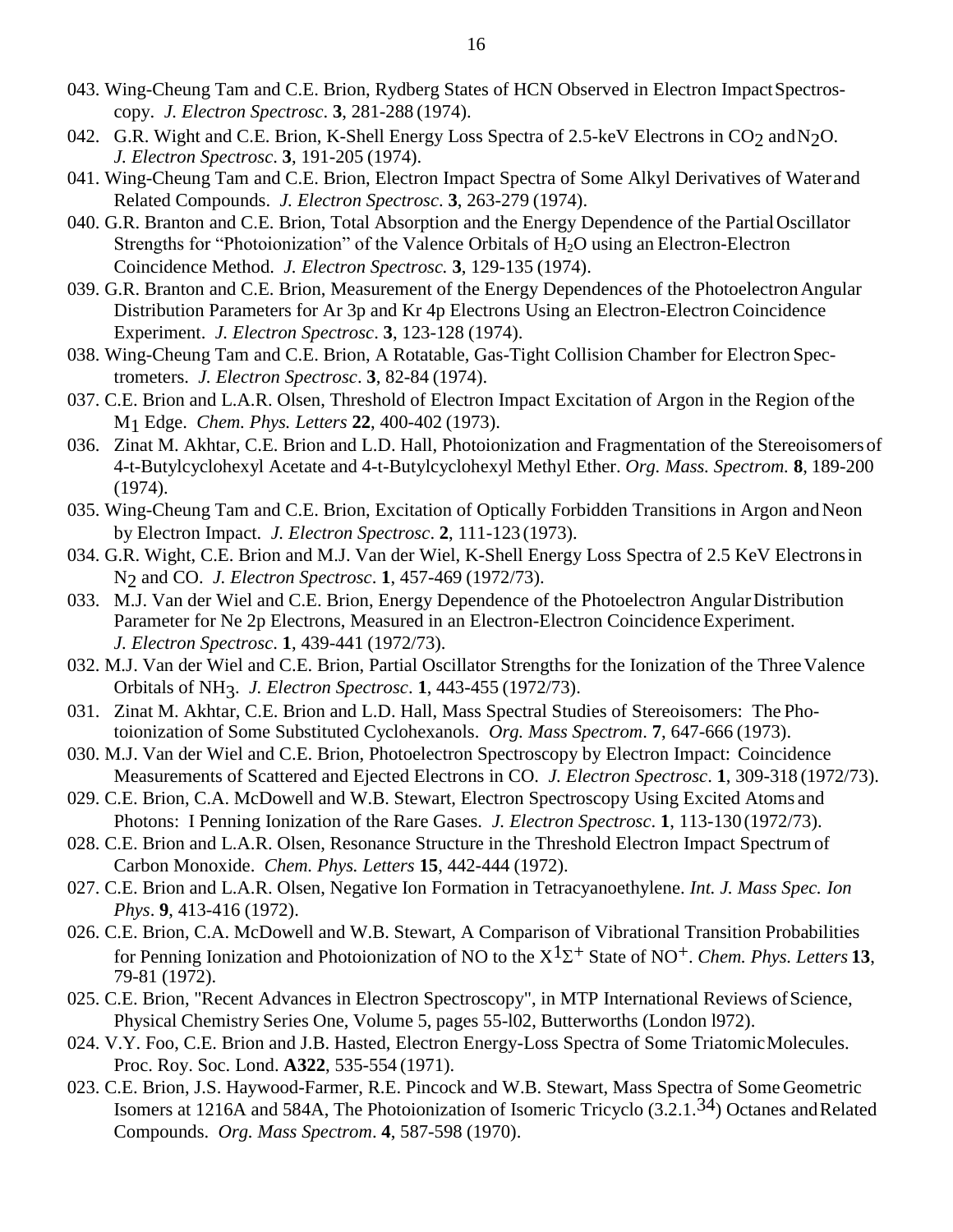- 043. Wing-Cheung Tam and C.E. Brion, Rydberg States of HCN Observed in Electron ImpactSpectroscopy. *J. Electron Spectrosc*. **3**, 281-288 (1974).
- 042. G.R. Wight and C.E. Brion, K-Shell Energy Loss Spectra of 2.5-keV Electrons in CO<sub>2</sub> and N<sub>2</sub>O. *J. Electron Spectrosc*. **3**, 191-205 (1974).
- 041. Wing-Cheung Tam and C.E. Brion, Electron Impact Spectra of Some Alkyl Derivatives of Waterand Related Compounds. *J. Electron Spectrosc*. **3**, 263-279 (1974).
- 040. G.R. Branton and C.E. Brion, Total Absorption and the Energy Dependence of the Partial Oscillator Strengths for "Photoionization" of the Valence Orbitals of  $H_2O$  using an Electron-Electron Coincidence Method. *J. Electron Spectrosc.* **3**, 129-135 (1974).
- 039. G.R. Branton and C.E. Brion, Measurement of the Energy Dependences of the Photoelectron Angular Distribution Parameters for Ar 3p and Kr 4p Electrons Using an Electron-Electron Coincidence Experiment. *J. Electron Spectrosc*. **3**, 123-128 (1974).
- 038. Wing-Cheung Tam and C.E. Brion, A Rotatable, Gas-Tight Collision Chamber for Electron Spectrometers. *J. Electron Spectrosc*. **3**, 82-84 (1974).
- 037. C.E. Brion and L.A.R. Olsen, Threshold of Electron Impact Excitation of Argon in the Region ofthe M1 Edge. *Chem. Phys. Letters* **22**, 400-402 (1973).
- 036. Zinat M. Akhtar, C.E. Brion and L.D. Hall, Photoionization and Fragmentation of the Stereoisomers of 4-t-Butylcyclohexyl Acetate and 4-t-Butylcyclohexyl Methyl Ether. *Org. Mass. Spectrom.* **8**, 189-200 (1974).
- 035. Wing-Cheung Tam and C.E. Brion, Excitation of Optically Forbidden Transitions in Argon and Neon by Electron Impact. *J. Electron Spectrosc*. **2**, 111-123 (1973).
- 034. G.R. Wight, C.E. Brion and M.J. Van der Wiel, K-Shell Energy Loss Spectra of 2.5 KeV Electronsin N2 and CO. *J. Electron Spectrosc*. **1**, 457-469 (1972/73).
- 033. M.J. Van der Wiel and C.E. Brion, Energy Dependence of the Photoelectron AngularDistribution Parameter for Ne 2p Electrons, Measured in an Electron-Electron Coincidence Experiment. *J. Electron Spectrosc*. **1**, 439-441 (1972/73).
- 032. M.J. Van der Wiel and C.E. Brion, Partial Oscillator Strengths for the Ionization of the Three Valence Orbitals of NH3. *J. Electron Spectrosc*. **1**, 443-455 (1972/73).
- 031. Zinat M. Akhtar, C.E. Brion and L.D. Hall, Mass Spectral Studies of Stereoisomers: The Photoionization of Some Substituted Cyclohexanols. *Org. Mass Spectrom*. **7**, 647-666 (1973).
- 030. M.J. Van der Wiel and C.E. Brion, Photoelectron Spectroscopy by Electron Impact: Coincidence Measurements of Scattered and Ejected Electrons in CO. *J. Electron Spectrosc*. **1**, 309-318 (1972/73).
- 029. C.E. Brion, C.A. McDowell and W.B. Stewart, Electron Spectroscopy Using Excited Atoms and Photons: I Penning Ionization of the Rare Gases. *J. Electron Spectrosc*. **1**, 113-130 (1972/73).
- 028. C.E. Brion and L.A.R. Olsen, Resonance Structure in the Threshold Electron Impact Spectrumof Carbon Monoxide. *Chem. Phys. Letters* **15**, 442-444 (1972).
- 027. C.E. Brion and L.A.R. Olsen, Negative Ion Formation in Tetracyanoethylene. *Int. J. Mass Spec. Ion Phys*. **9**, 413-416 (1972).
- 026. C.E. Brion, C.A. McDowell and W.B. Stewart, A Comparison of Vibrational Transition Probabilities for Penning Ionization and Photoionization of NO to the  $X^1\Sigma^+$  State of NO<sup>+</sup>. *Chem. Phys. Letters* 13, 79-81 (1972).
- 025. C.E. Brion, "Recent Advances in Electron Spectroscopy", in MTP International Reviews of Science, Physical Chemistry Series One, Volume 5, pages 55-l02, Butterworths (London l972).
- 024. V.Y. Foo, C.E. Brion and J.B. Hasted, Electron Energy-Loss Spectra of Some Triatomic Molecules. Proc. Roy. Soc. Lond. **A322**, 535-554 (1971).
- 023. C.E. Brion, J.S. Haywood-Farmer, R.E. Pincock and W.B. Stewart, Mass Spectra of Some Geometric Isomers at 1216A and 584A, The Photoionization of Isomeric Tricyclo (3.2.1.34) Octanes andRelated Compounds. *Org. Mass Spectrom*. **4**, 587-598 (1970).